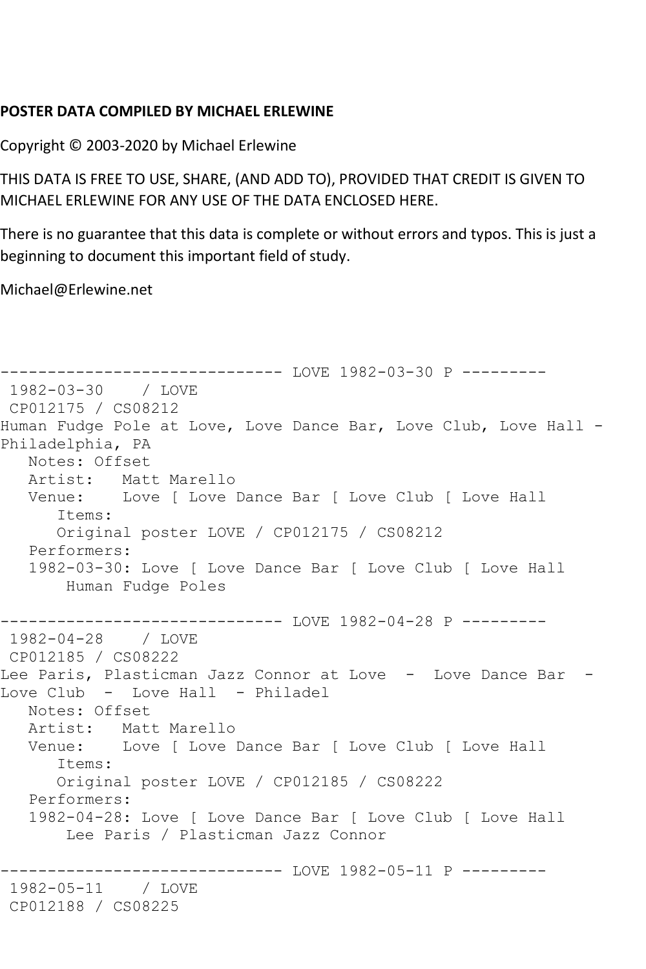## **POSTER DATA COMPILED BY MICHAEL ERLEWINE**

Copyright © 2003-2020 by Michael Erlewine

THIS DATA IS FREE TO USE, SHARE, (AND ADD TO), PROVIDED THAT CREDIT IS GIVEN TO MICHAEL ERLEWINE FOR ANY USE OF THE DATA ENCLOSED HERE.

There is no guarantee that this data is complete or without errors and typos. This is just a beginning to document this important field of study.

Michael@Erlewine.net

```
------------------------------ LOVE 1982-03-30 P ---------
1982-03-30 / LOVE 
CP012175 / CS08212
Human Fudge Pole at Love, Love Dance Bar, Love Club, Love Hall -
Philadelphia, PA
   Notes: Offset
   Artist: Matt Marello
   Venue: Love [ Love Dance Bar [ Love Club [ Love Hall
       Items:
       Original poster LOVE / CP012175 / CS08212
   Performers:
    1982-03-30: Love [ Love Dance Bar [ Love Club [ Love Hall
        Human Fudge Poles
------------------------------ LOVE 1982-04-28 P ---------
1982-04-28 / LOVE 
CP012185 / CS08222
Lee Paris, Plasticman Jazz Connor at Love - Love Dance Bar -
Love Club - Love Hall - Philadel
   Notes: Offset
  Artist: Matt Marello<br>Venue: Love [ Love ]
            Love [ Love Dance Bar [ Love Club [ Love Hall
       Items:
       Original poster LOVE / CP012185 / CS08222
   Performers:
    1982-04-28: Love [ Love Dance Bar [ Love Club [ Love Hall
        Lee Paris / Plasticman Jazz Connor
              ------------------------------ LOVE 1982-05-11 P ---------
1982-05-11
CP012188 / CS08225
```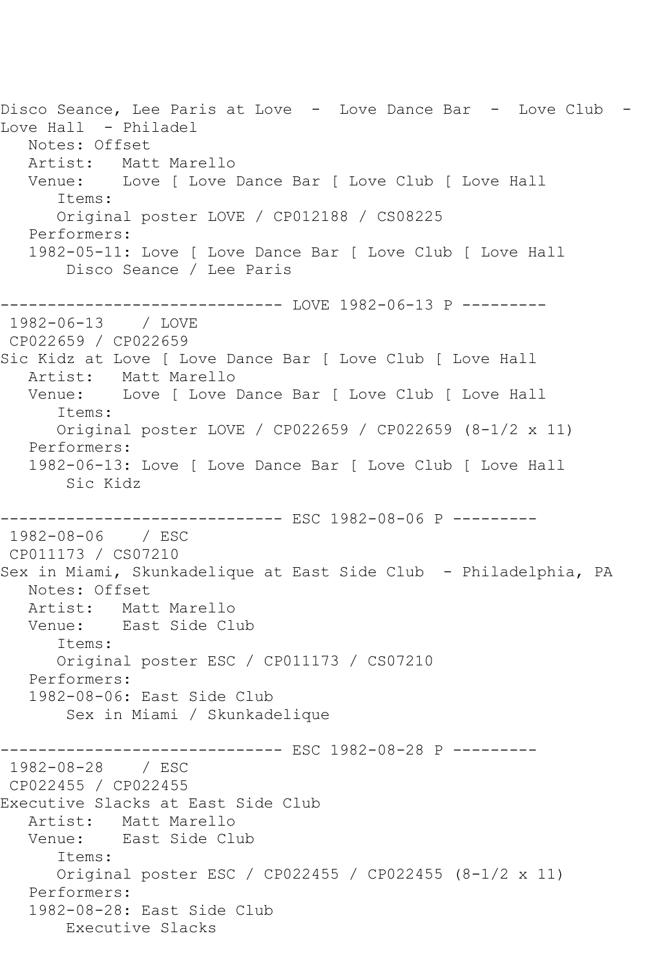Disco Seance, Lee Paris at Love - Love Dance Bar - Love Club -Love Hall - Philadel Notes: Offset Artist: Matt Marello<br>Venue: Love [ Love Love [ Love Dance Bar [ Love Club [ Love Hall Items: Original poster LOVE / CP012188 / CS08225 Performers: 1982-05-11: Love [ Love Dance Bar [ Love Club [ Love Hall Disco Seance / Lee Paris ------------------------------ LOVE 1982-06-13 P --------- 1982-06-13 CP022659 / CP022659 Sic Kidz at Love [ Love Dance Bar [ Love Club [ Love Hall Artist: Matt Marello Venue: Love [ Love Dance Bar [ Love Club [ Love Hall Items: Original poster LOVE / CP022659 / CP022659 (8-1/2 x 11) Performers: 1982-06-13: Love [ Love Dance Bar [ Love Club [ Love Hall Sic Kidz ------------------------------ ESC 1982-08-06 P --------- 1982-08-06 / ESC CP011173 / CS07210 Sex in Miami, Skunkadelique at East Side Club - Philadelphia, PA Notes: Offset Artist: Matt Marello Venue: East Side Club Items: Original poster ESC / CP011173 / CS07210 Performers: 1982-08-06: East Side Club Sex in Miami / Skunkadelique ------------------------------ ESC 1982-08-28 P --------- 1982-08-28 / ESC CP022455 / CP022455 Executive Slacks at East Side Club Artist: Matt Marello Venue: East Side Club Items: Original poster ESC / CP022455 / CP022455 (8-1/2 x 11) Performers: 1982-08-28: East Side Club Executive Slacks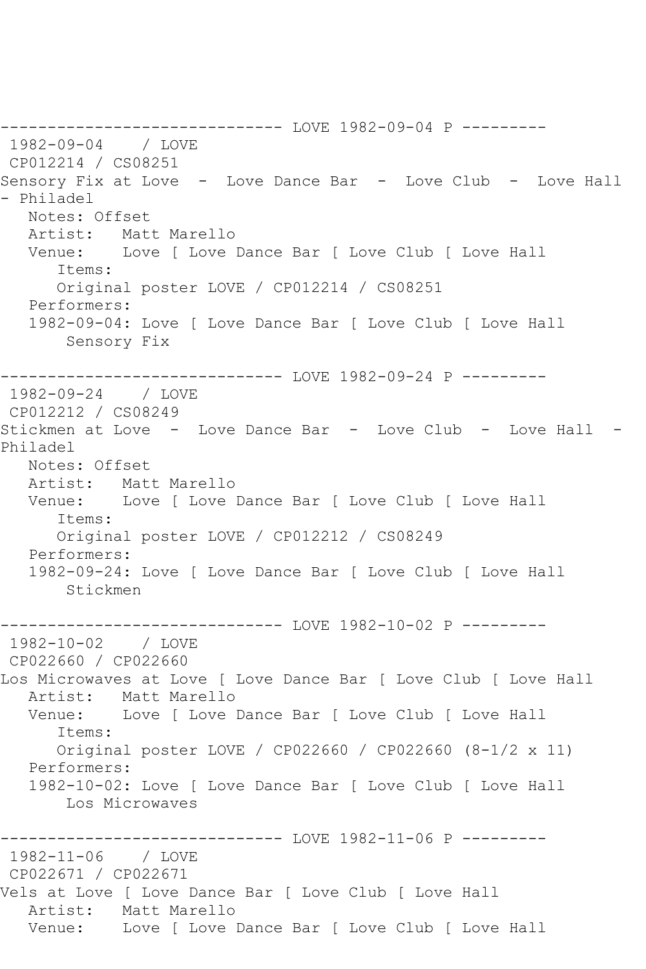------------------------------ LOVE 1982-09-04 P --------- 1982-09-04 / LOVE CP012214 / CS08251 Sensory Fix at Love - Love Dance Bar - Love Club - Love Hall - Philadel Notes: Offset Artist: Matt Marello Venue: Love [ Love Dance Bar [ Love Club [ Love Hall Items: Original poster LOVE / CP012214 / CS08251 Performers: 1982-09-04: Love [ Love Dance Bar [ Love Club [ Love Hall Sensory Fix ------------------------------ LOVE 1982-09-24 P --------- 1982-09-24 / LOVE CP012212 / CS08249 Stickmen at Love - Love Dance Bar - Love Club - Love Hall - Philadel Notes: Offset<br>Artist: Mat Matt Marello Venue: Love [ Love Dance Bar [ Love Club [ Love Hall Items: Original poster LOVE / CP012212 / CS08249 Performers: 1982-09-24: Love [ Love Dance Bar [ Love Club [ Love Hall Stickmen --------------------------------- LOVE 1982-10-02 P ---------<br>1982-10-02 / LOVE 1982-10-02 CP022660 / CP022660 Los Microwaves at Love [ Love Dance Bar [ Love Club [ Love Hall Artist: Matt Marello Venue: Love [ Love Dance Bar [ Love Club [ Love Hall Items: Original poster LOVE / CP022660 / CP022660 (8-1/2 x 11) Performers: 1982-10-02: Love [ Love Dance Bar [ Love Club [ Love Hall Los Microwaves ------------------------------ LOVE 1982-11-06 P --------- 1982-11-06 / LOVE CP022671 / CP022671 Vels at Love [ Love Dance Bar [ Love Club [ Love Hall Artist: Matt Marello Venue: Love [ Love Dance Bar [ Love Club [ Love Hall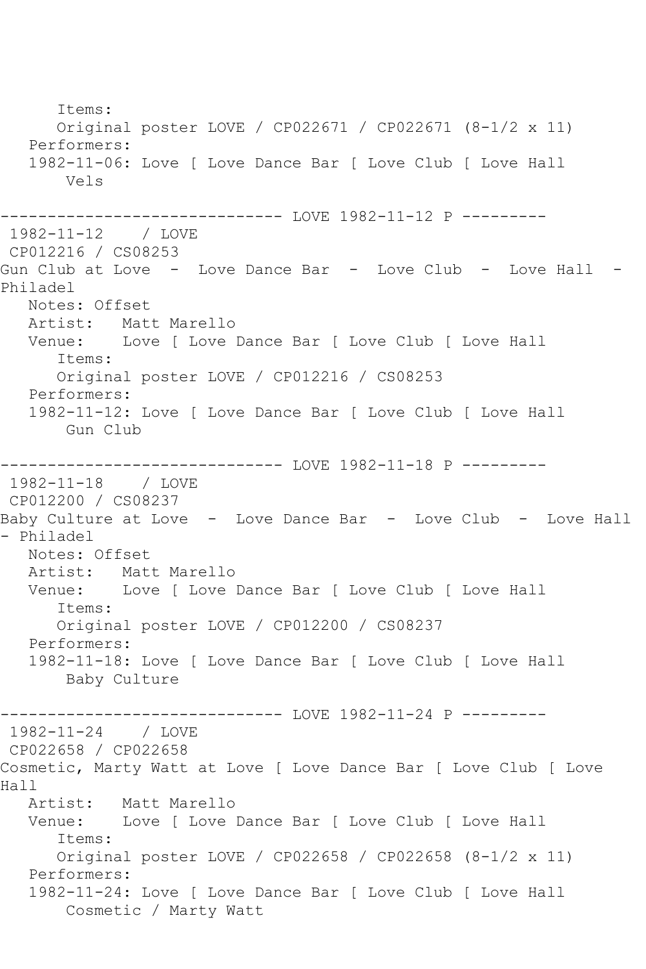Items: Original poster LOVE / CP022671 / CP022671 (8-1/2 x 11) Performers: 1982-11-06: Love [ Love Dance Bar [ Love Club [ Love Hall Vels --------------------------------- LOVE 1982-11-12 P ---------<br>1982-11-12 / LOVE  $1982 - 11 - 12$ CP012216 / CS08253 Gun Club at Love - Love Dance Bar - Love Club - Love Hall -Philadel Notes: Offset Artist: Matt Marello Venue: Love [ Love Dance Bar [ Love Club [ Love Hall Items: Original poster LOVE / CP012216 / CS08253 Performers: 1982-11-12: Love [ Love Dance Bar [ Love Club [ Love Hall Gun Club ------------------------------ LOVE 1982-11-18 P --------- 1982-11-18 / LOVE CP012200 / CS08237 Baby Culture at Love - Love Dance Bar - Love Club - Love Hall - Philadel Notes: Offset<br>Artist: Mat Matt Marello Venue: Love [ Love Dance Bar [ Love Club [ Love Hall Items: Original poster LOVE / CP012200 / CS08237 Performers: 1982-11-18: Love [ Love Dance Bar [ Love Club [ Love Hall Baby Culture ---------- LOVE 1982-11-24 P ---------1982-11-24 / LOVE CP022658 / CP022658 Cosmetic, Marty Watt at Love [ Love Dance Bar [ Love Club [ Love Hall<br>Artist: Artist: Matt Marello<br>Venue: Love [ Love ] Love [ Love Dance Bar [ Love Club [ Love Hall Items: Original poster LOVE / CP022658 / CP022658 (8-1/2 x 11) Performers: 1982-11-24: Love [ Love Dance Bar [ Love Club [ Love Hall Cosmetic / Marty Watt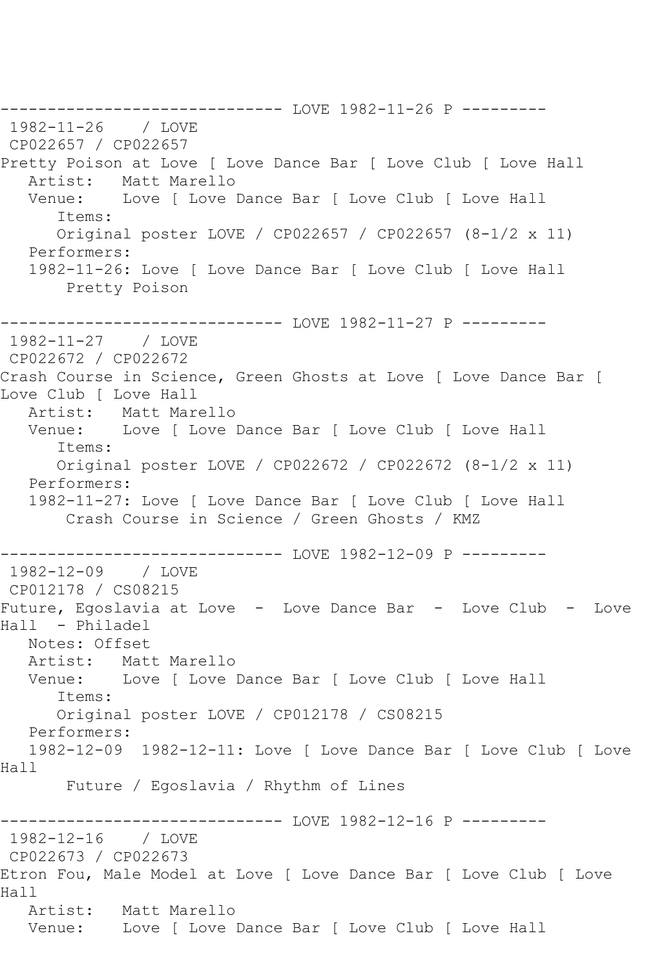------------------------------ LOVE 1982-11-26 P --------- 1982-11-26 / LOVE CP022657 / CP022657 Pretty Poison at Love [ Love Dance Bar [ Love Club [ Love Hall Artist: Matt Marello Venue: Love [ Love Dance Bar [ Love Club [ Love Hall Items: Original poster LOVE / CP022657 / CP022657 (8-1/2 x 11) Performers: 1982-11-26: Love [ Love Dance Bar [ Love Club [ Love Hall Pretty Poison ------------------------------ LOVE 1982-11-27 P --------- 1982-11-27 / LOVE CP022672 / CP022672 Crash Course in Science, Green Ghosts at Love [ Love Dance Bar [ Love Club [ Love Hall Artist: Matt Marello Venue: Love [ Love Dance Bar [ Love Club [ Love Hall Items: Original poster LOVE / CP022672 / CP022672 (8-1/2 x 11) Performers: 1982-11-27: Love [ Love Dance Bar [ Love Club [ Love Hall Crash Course in Science / Green Ghosts / KMZ ------------------------------ LOVE 1982-12-09 P --------- 1982-12-09 / LOVE CP012178 / CS08215 Future, Egoslavia at Love - Love Dance Bar - Love Club - Love Hall - Philadel Notes: Offset Artist: Matt Marello Venue: Love [ Love Dance Bar [ Love Club [ Love Hall Items: Original poster LOVE / CP012178 / CS08215 Performers: 1982-12-09 1982-12-11: Love [ Love Dance Bar [ Love Club [ Love Hall Future / Egoslavia / Rhythm of Lines ------------ LOVE 1982-12-16 P ---------1982-12-16 / LOVE CP022673 / CP022673 Etron Fou, Male Model at Love [ Love Dance Bar [ Love Club [ Love Hall Artist: Matt Marello Venue: Love [ Love Dance Bar [ Love Club [ Love Hall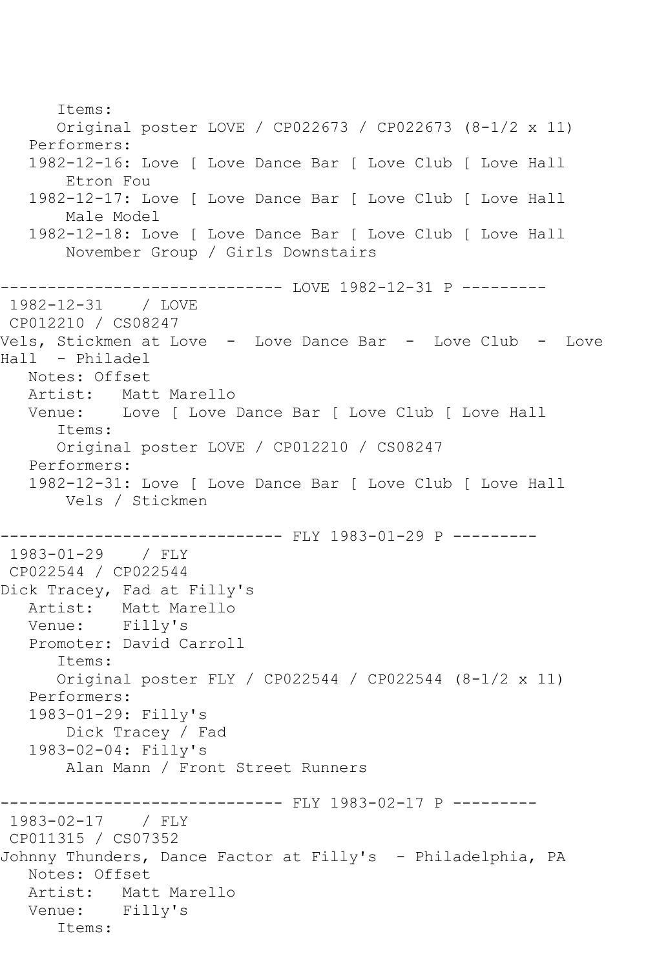Items: Original poster LOVE / CP022673 / CP022673 (8-1/2 x 11) Performers: 1982-12-16: Love [ Love Dance Bar [ Love Club [ Love Hall Etron Fou 1982-12-17: Love [ Love Dance Bar [ Love Club [ Love Hall Male Model 1982-12-18: Love [ Love Dance Bar [ Love Club [ Love Hall November Group / Girls Downstairs ------------------------------ LOVE 1982-12-31 P --------- 1982-12-31 / LOVE CP012210 / CS08247 Vels, Stickmen at Love - Love Dance Bar - Love Club - Love Hall - Philadel Notes: Offset Artist: Matt Marello Venue: Love [ Love Dance Bar [ Love Club [ Love Hall Items: Original poster LOVE / CP012210 / CS08247 Performers: 1982-12-31: Love [ Love Dance Bar [ Love Club [ Love Hall Vels / Stickmen ------------------------------ FLY 1983-01-29 P --------- 1983-01-29 / FLY CP022544 / CP022544 Dick Tracey, Fad at Filly's Artist: Matt Marello Venue: Filly's Promoter: David Carroll Items: Original poster FLY / CP022544 / CP022544 (8-1/2 x 11) Performers: 1983-01-29: Filly's Dick Tracey / Fad 1983-02-04: Filly's Alan Mann / Front Street Runners ------------------------------ FLY 1983-02-17 P --------- 1983-02-17 / FLY CP011315 / CS07352 Johnny Thunders, Dance Factor at Filly's - Philadelphia, PA Notes: Offset Artist: Matt Marello Venue: Filly's Items: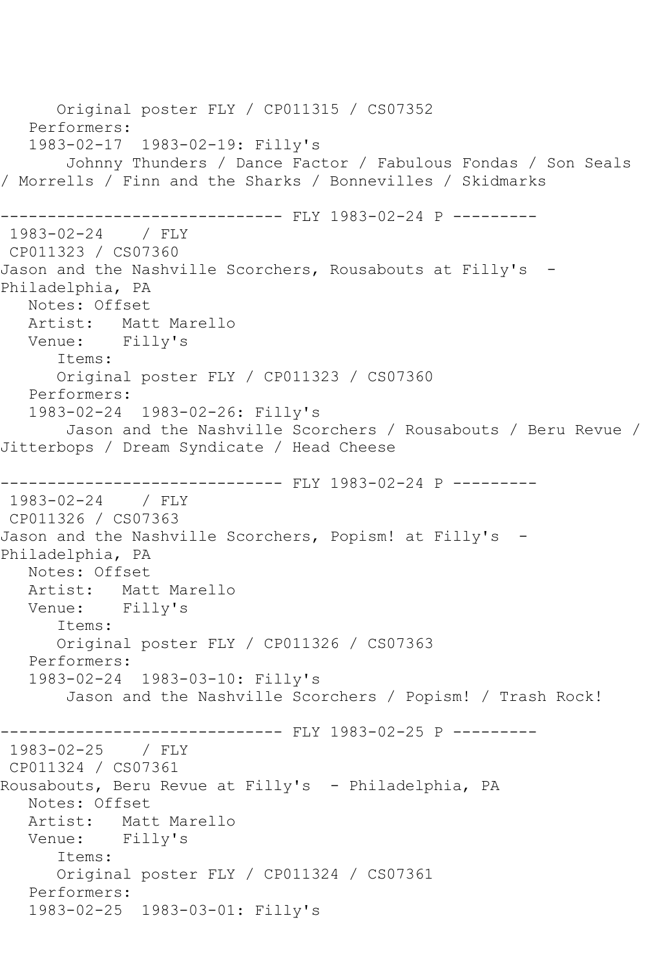Original poster FLY / CP011315 / CS07352 Performers: 1983-02-17 1983-02-19: Filly's Johnny Thunders / Dance Factor / Fabulous Fondas / Son Seals / Morrells / Finn and the Sharks / Bonnevilles / Skidmarks ------------------------------ FLY 1983-02-24 P --------- 1983-02-24 / FLY CP011323 / CS07360 Jason and the Nashville Scorchers, Rousabouts at Filly's -Philadelphia, PA Notes: Offset Artist: Matt Marello Venue: Filly's Items: Original poster FLY / CP011323 / CS07360 Performers: 1983-02-24 1983-02-26: Filly's Jason and the Nashville Scorchers / Rousabouts / Beru Revue / Jitterbops / Dream Syndicate / Head Cheese ---------- FLY 1983-02-24 P ---------1983-02-24 / FLY CP011326 / CS07363 Jason and the Nashville Scorchers, Popism! at Filly's -Philadelphia, PA Notes: Offset Artist: Matt Marello Venue: Filly's Items: Original poster FLY / CP011326 / CS07363 Performers: 1983-02-24 1983-03-10: Filly's Jason and the Nashville Scorchers / Popism! / Trash Rock! ------------------------------ FLY 1983-02-25 P --------- 1983-02-25 / FLY CP011324 / CS07361 Rousabouts, Beru Revue at Filly's - Philadelphia, PA Notes: Offset Artist: Matt Marello Venue: Filly's Items: Original poster FLY / CP011324 / CS07361 Performers: 1983-02-25 1983-03-01: Filly's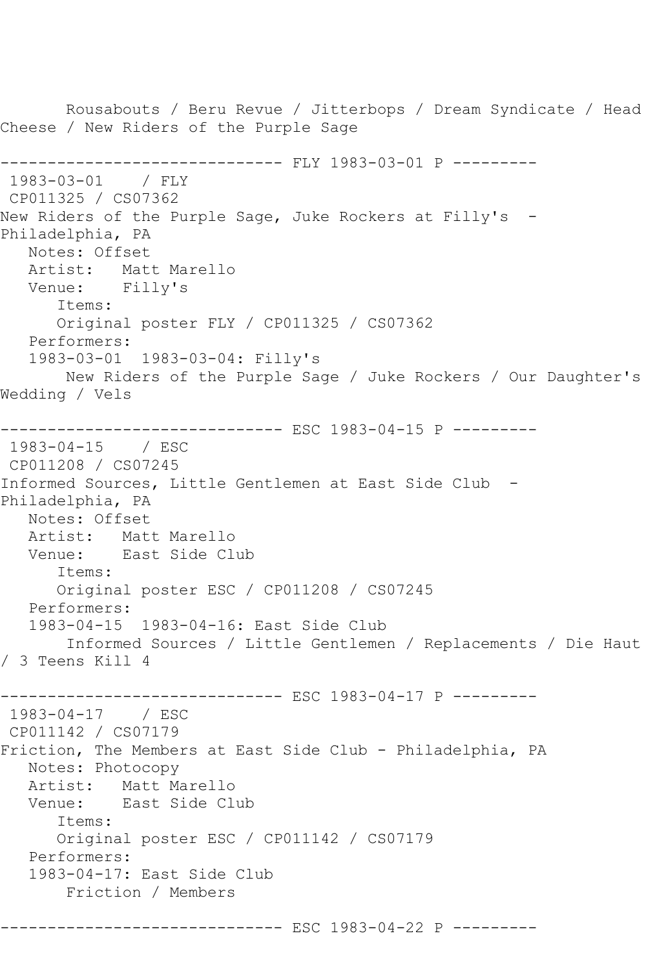Rousabouts / Beru Revue / Jitterbops / Dream Syndicate / Head Cheese / New Riders of the Purple Sage ------------------------------ FLY 1983-03-01 P --------- 1983-03-01 / FLY CP011325 / CS07362 New Riders of the Purple Sage, Juke Rockers at Filly's -Philadelphia, PA Notes: Offset Artist: Matt Marello Venue: Filly's Items: Original poster FLY / CP011325 / CS07362 Performers: 1983-03-01 1983-03-04: Filly's New Riders of the Purple Sage / Juke Rockers / Our Daughter's Wedding / Vels ------------------------------ ESC 1983-04-15 P --------- 1983-04-15 / ESC CP011208 / CS07245 Informed Sources, Little Gentlemen at East Side Club - Philadelphia, PA Notes: Offset Artist: Matt Marello<br>Venue: East Side Cl East Side Club Items: Original poster ESC / CP011208 / CS07245 Performers: 1983-04-15 1983-04-16: East Side Club Informed Sources / Little Gentlemen / Replacements / Die Haut / 3 Teens Kill 4 ------------------------------ ESC 1983-04-17 P --------- 1983-04-17 / ESC CP011142 / CS07179 Friction, The Members at East Side Club - Philadelphia, PA Notes: Photocopy Artist: Matt Marello<br>Venue: East Side Cl East Side Club Items: Original poster ESC / CP011142 / CS07179 Performers: 1983-04-17: East Side Club Friction / Members ------------------------------ ESC 1983-04-22 P ---------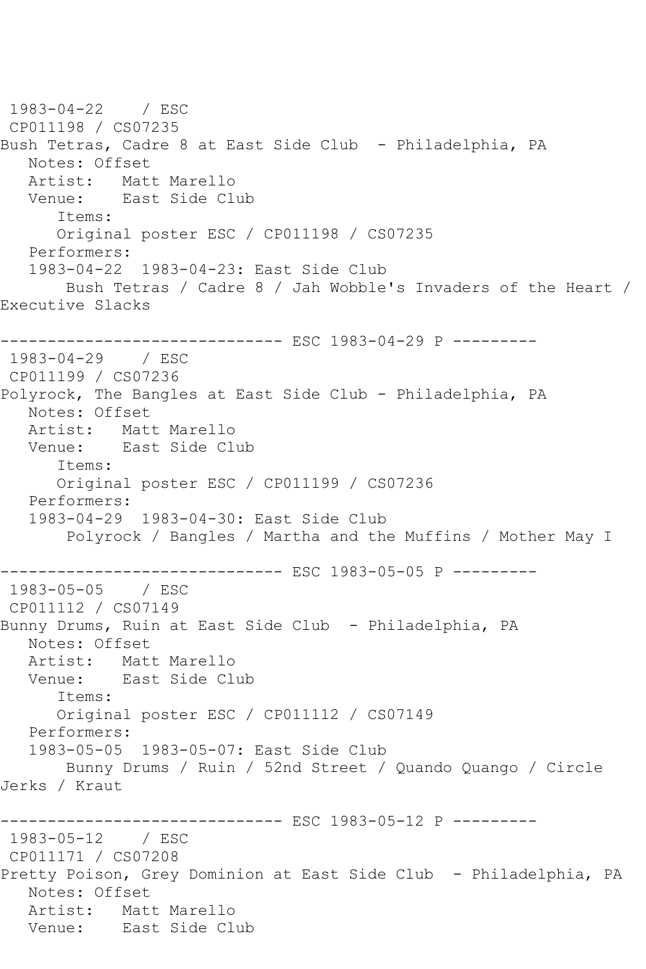1983-04-22 / ESC CP011198 / CS07235 Bush Tetras, Cadre 8 at East Side Club - Philadelphia, PA Notes: Offset Artist: Matt Marello Venue: East Side Club Items: Original poster ESC / CP011198 / CS07235 Performers: 1983-04-22 1983-04-23: East Side Club Bush Tetras / Cadre 8 / Jah Wobble's Invaders of the Heart / Executive Slacks ------------------------------ ESC 1983-04-29 P --------- 1983-04-29 / ESC CP011199 / CS07236 Polyrock, The Bangles at East Side Club - Philadelphia, PA Notes: Offset<br>Artist: Mat Matt Marello Venue: East Side Club Items: Original poster ESC / CP011199 / CS07236 Performers: 1983-04-29 1983-04-30: East Side Club Polyrock / Bangles / Martha and the Muffins / Mother May I ------------------------------ ESC 1983-05-05 P --------- 1983-05-05 / ESC CP011112 / CS07149 Bunny Drums, Ruin at East Side Club - Philadelphia, PA Notes: Offset Artist: Matt Marello Venue: East Side Club Items: Original poster ESC / CP011112 / CS07149 Performers: 1983-05-05 1983-05-07: East Side Club Bunny Drums / Ruin / 52nd Street / Quando Quango / Circle Jerks / Kraut ------------------------------ ESC 1983-05-12 P --------- 1983-05-12 / ESC CP011171 / CS07208 Pretty Poison, Grey Dominion at East Side Club - Philadelphia, PA Notes: Offset Artist: Matt Marello Venue: East Side Club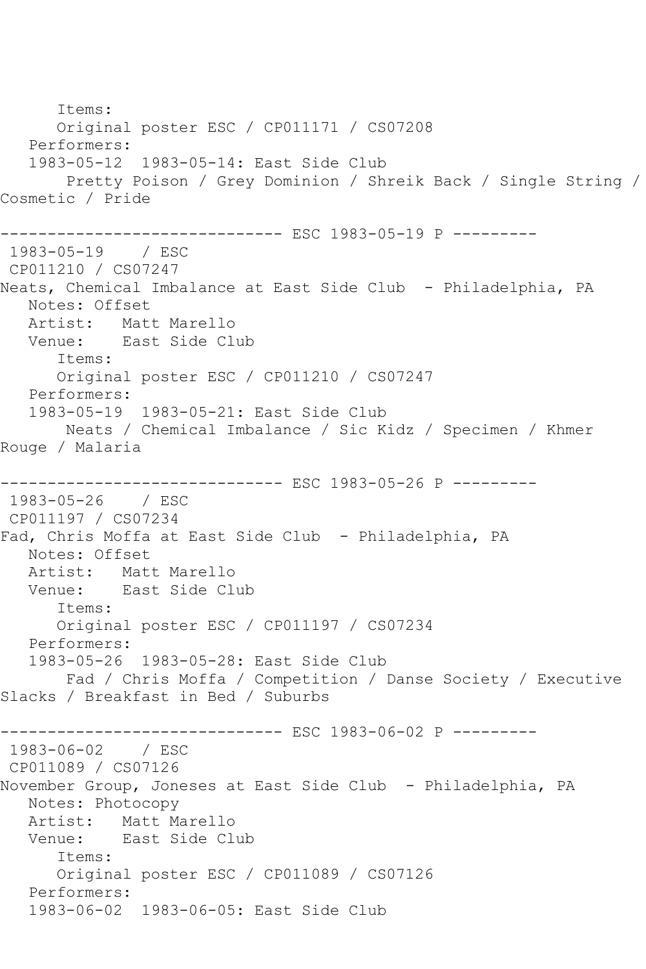Items: Original poster ESC / CP011171 / CS07208 Performers: 1983-05-12 1983-05-14: East Side Club Pretty Poison / Grey Dominion / Shreik Back / Single String / Cosmetic / Pride ------------------------------ ESC 1983-05-19 P --------- 1983-05-19 / ESC CP011210 / CS07247 Neats, Chemical Imbalance at East Side Club - Philadelphia, PA Notes: Offset Artist: Matt Marello Venue: East Side Club Items: Original poster ESC / CP011210 / CS07247 Performers: 1983-05-19 1983-05-21: East Side Club Neats / Chemical Imbalance / Sic Kidz / Specimen / Khmer Rouge / Malaria ------------------------------ ESC 1983-05-26 P --------- 1983-05-26 / ESC CP011197 / CS07234 Fad, Chris Moffa at East Side Club - Philadelphia, PA Notes: Offset Artist: Matt Marello Venue: East Side Club Items: Original poster ESC / CP011197 / CS07234 Performers: 1983-05-26 1983-05-28: East Side Club Fad / Chris Moffa / Competition / Danse Society / Executive Slacks / Breakfast in Bed / Suburbs ------------------------------ ESC 1983-06-02 P --------- 1983-06-02 / ESC CP011089 / CS07126 November Group, Joneses at East Side Club - Philadelphia, PA Notes: Photocopy Artist: Matt Marello Venue: East Side Club Items: Original poster ESC / CP011089 / CS07126 Performers: 1983-06-02 1983-06-05: East Side Club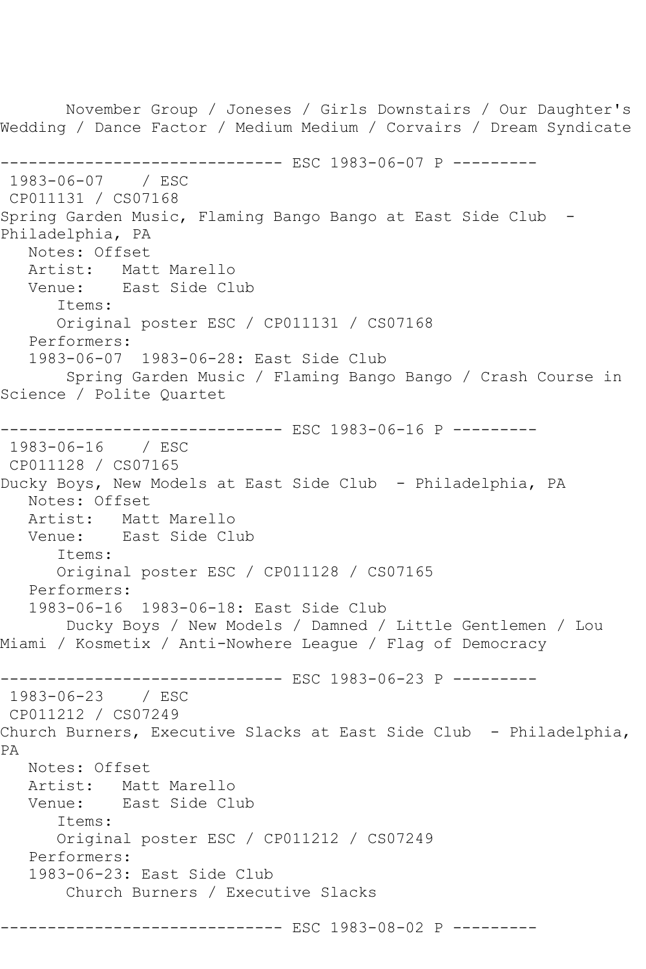November Group / Joneses / Girls Downstairs / Our Daughter's Wedding / Dance Factor / Medium Medium / Corvairs / Dream Syndicate ------------------------------ ESC 1983-06-07 P --------- 1983-06-07 / ESC CP011131 / CS07168 Spring Garden Music, Flaming Bango Bango at East Side Club - Philadelphia, PA Notes: Offset Artist: Matt Marello Venue: East Side Club Items: Original poster ESC / CP011131 / CS07168 Performers: 1983-06-07 1983-06-28: East Side Club Spring Garden Music / Flaming Bango Bango / Crash Course in Science / Polite Quartet ------------------------------ ESC 1983-06-16 P --------- 1983-06-16 / ESC CP011128 / CS07165 Ducky Boys, New Models at East Side Club - Philadelphia, PA Notes: Offset Artist: Matt Marello Venue: East Side Club Items: Original poster ESC / CP011128 / CS07165 Performers: 1983-06-16 1983-06-18: East Side Club Ducky Boys / New Models / Damned / Little Gentlemen / Lou Miami / Kosmetix / Anti-Nowhere League / Flag of Democracy ------------------------------ ESC 1983-06-23 P --------- 1983-06-23 / ESC CP011212 / CS07249 Church Burners, Executive Slacks at East Side Club - Philadelphia, PA Notes: Offset Artist: Matt Marello Venue: East Side Club Items: Original poster ESC / CP011212 / CS07249 Performers: 1983-06-23: East Side Club Church Burners / Executive Slacks ------------------------------ ESC 1983-08-02 P ---------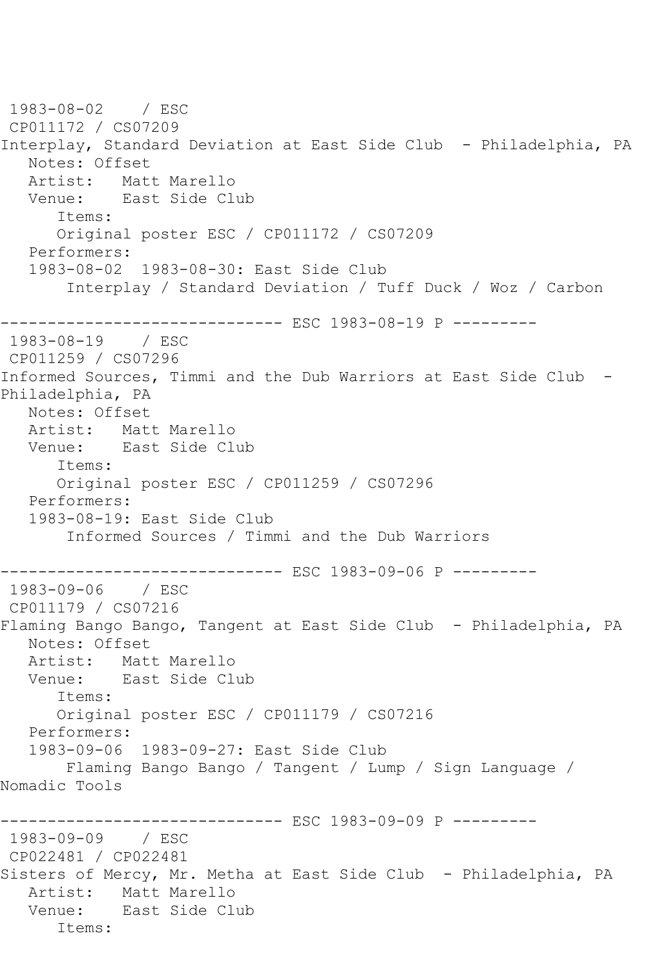1983-08-02 / ESC CP011172 / CS07209 Interplay, Standard Deviation at East Side Club - Philadelphia, PA Notes: Offset Artist: Matt Marello Venue: East Side Club Items: Original poster ESC / CP011172 / CS07209 Performers: 1983-08-02 1983-08-30: East Side Club Interplay / Standard Deviation / Tuff Duck / Woz / Carbon ------------------------------ ESC 1983-08-19 P --------- 1983-08-19 / ESC CP011259 / CS07296 Informed Sources, Timmi and the Dub Warriors at East Side Club - Philadelphia, PA Notes: Offset<br>Artist: Mat Matt Marello Venue: East Side Club Items: Original poster ESC / CP011259 / CS07296 Performers: 1983-08-19: East Side Club Informed Sources / Timmi and the Dub Warriors ------------------------------ ESC 1983-09-06 P --------- 1983-09-06 / ESC CP011179 / CS07216 Flaming Bango Bango, Tangent at East Side Club - Philadelphia, PA Notes: Offset Artist: Matt Marello Venue: East Side Club Items: Original poster ESC / CP011179 / CS07216 Performers: 1983-09-06 1983-09-27: East Side Club Flaming Bango Bango / Tangent / Lump / Sign Language / Nomadic Tools ------------------------------ ESC 1983-09-09 P --------- 1983-09-09 / ESC CP022481 / CP022481 Sisters of Mercy, Mr. Metha at East Side Club - Philadelphia, PA Artist: Matt Marello Venue: East Side Club Items: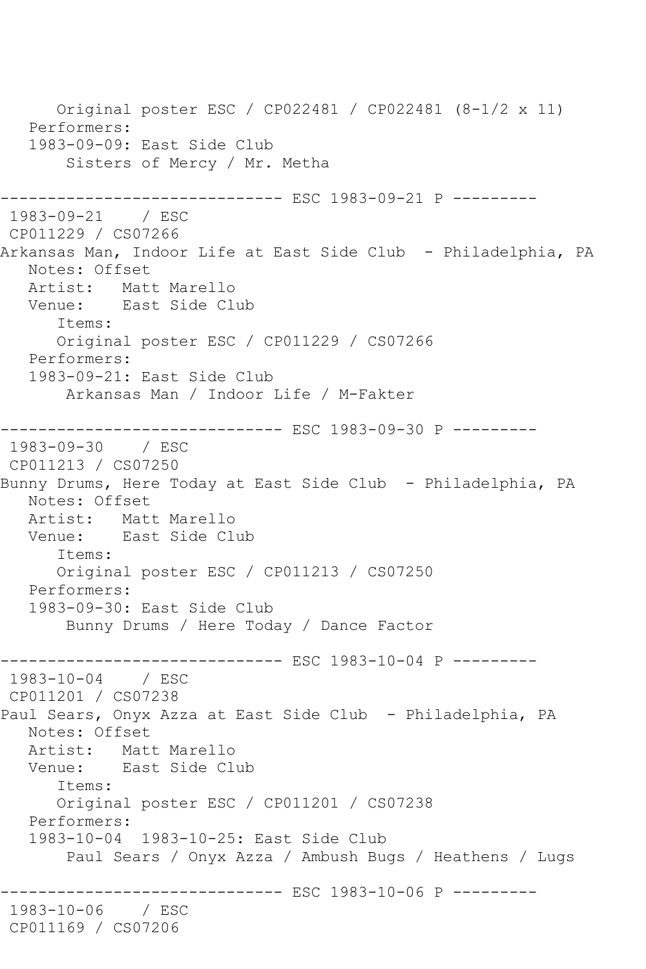Original poster ESC / CP022481 / CP022481 (8-1/2 x 11) Performers: 1983-09-09: East Side Club Sisters of Mercy / Mr. Metha ------------------------------ ESC 1983-09-21 P --------- 1983-09-21 / ESC CP011229 / CS07266 Arkansas Man, Indoor Life at East Side Club - Philadelphia, PA Notes: Offset Artist: Matt Marello<br>Venue: East Side Cli East Side Club Items: Original poster ESC / CP011229 / CS07266 Performers: 1983-09-21: East Side Club Arkansas Man / Indoor Life / M-Fakter ------------------------------ ESC 1983-09-30 P --------- 1983-09-30 / ESC CP011213 / CS07250 Bunny Drums, Here Today at East Side Club - Philadelphia, PA Notes: Offset Artist: Matt Marello Venue: East Side Club Items: Original poster ESC / CP011213 / CS07250 Performers: 1983-09-30: East Side Club Bunny Drums / Here Today / Dance Factor ------------------------------ ESC 1983-10-04 P --------- 1983-10-04 / ESC CP011201 / CS07238 Paul Sears, Onyx Azza at East Side Club - Philadelphia, PA Notes: Offset Artist: Matt Marello Venue: East Side Club Items: Original poster ESC / CP011201 / CS07238 Performers: 1983-10-04 1983-10-25: East Side Club Paul Sears / Onyx Azza / Ambush Bugs / Heathens / Lugs ------------------------------ ESC 1983-10-06 P --------- 1983-10-06 / ESC CP011169 / CS07206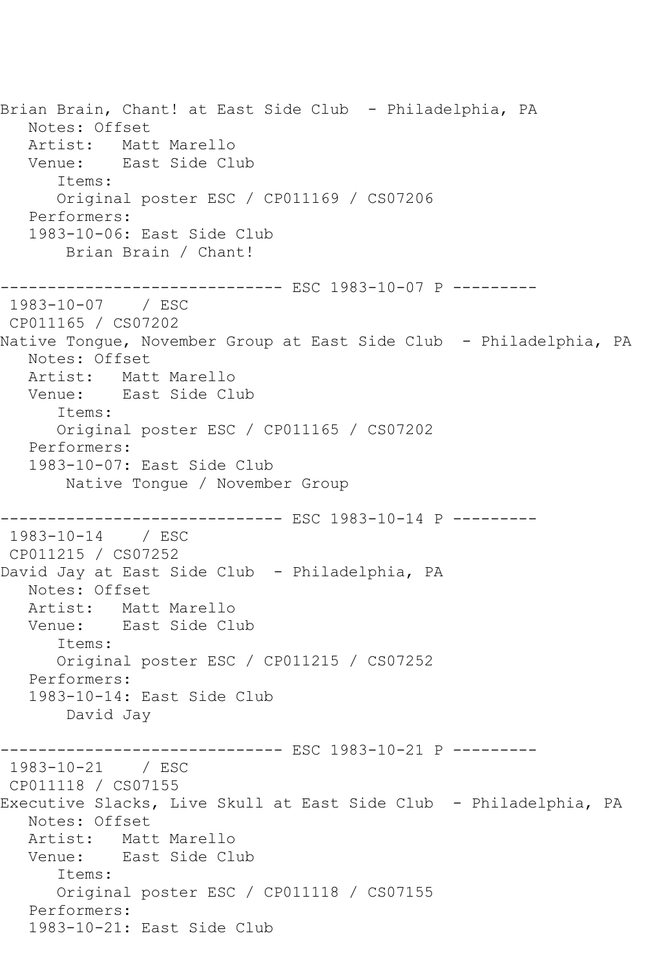Brian Brain, Chant! at East Side Club - Philadelphia, PA Notes: Offset Artist: Matt Marello Venue: East Side Club Items: Original poster ESC / CP011169 / CS07206 Performers: 1983-10-06: East Side Club Brian Brain / Chant! ------------------------------ ESC 1983-10-07 P --------- 1983-10-07 / ESC CP011165 / CS07202 Native Tongue, November Group at East Side Club - Philadelphia, PA Notes: Offset Artist: Matt Marello Venue: East Side Club Items: Original poster ESC / CP011165 / CS07202 Performers: 1983-10-07: East Side Club Native Tongue / November Group ------------------------------ ESC 1983-10-14 P --------- 1983-10-14 / ESC CP011215 / CS07252 David Jay at East Side Club - Philadelphia, PA Notes: Offset Artist: Matt Marello Venue: East Side Club Items: Original poster ESC / CP011215 / CS07252 Performers: 1983-10-14: East Side Club David Jay ------------------------------ ESC 1983-10-21 P --------- 1983-10-21 / ESC CP011118 / CS07155 Executive Slacks, Live Skull at East Side Club - Philadelphia, PA Notes: Offset Artist: Matt Marello Venue: East Side Club Items: Original poster ESC / CP011118 / CS07155 Performers: 1983-10-21: East Side Club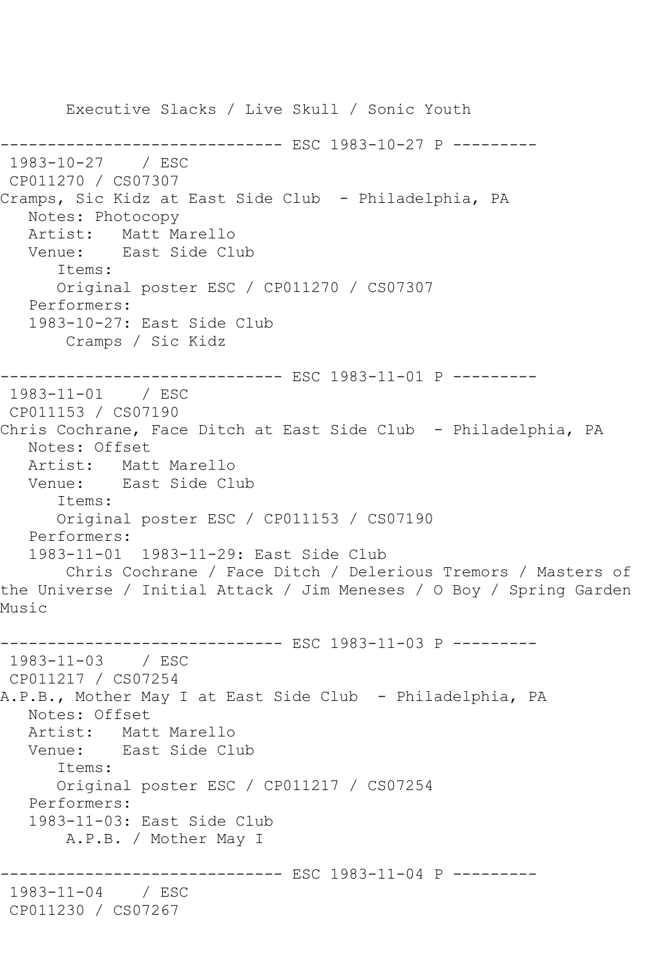Executive Slacks / Live Skull / Sonic Youth ------------------------------ ESC 1983-10-27 P --------- 1983-10-27 / ESC CP011270 / CS07307 Cramps, Sic Kidz at East Side Club - Philadelphia, PA Notes: Photocopy Artist: Matt Marello Venue: East Side Club Items: Original poster ESC / CP011270 / CS07307 Performers: 1983-10-27: East Side Club Cramps / Sic Kidz ------------------------------ ESC 1983-11-01 P --------- 1983-11-01 / ESC CP011153 / CS07190 Chris Cochrane, Face Ditch at East Side Club - Philadelphia, PA Notes: Offset Artist: Matt Marello Venue: East Side Club Items: Original poster ESC / CP011153 / CS07190 Performers: 1983-11-01 1983-11-29: East Side Club Chris Cochrane / Face Ditch / Delerious Tremors / Masters of the Universe / Initial Attack / Jim Meneses / O Boy / Spring Garden Music ------------------------------ ESC 1983-11-03 P --------- 1983-11-03 / ESC CP011217 / CS07254 A.P.B., Mother May I at East Side Club - Philadelphia, PA Notes: Offset Artist: Matt Marello Venue: East Side Club Items: Original poster ESC / CP011217 / CS07254 Performers: 1983-11-03: East Side Club A.P.B. / Mother May I ------------------------------ ESC 1983-11-04 P --------- 1983-11-04 / ESC CP011230 / CS07267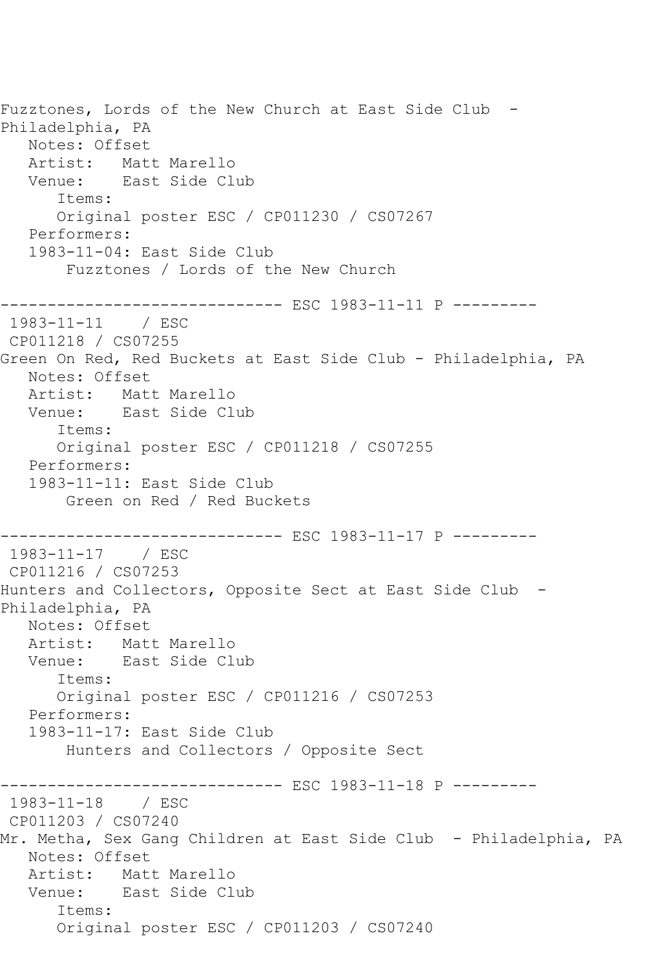Fuzztones, Lords of the New Church at East Side Club -Philadelphia, PA Notes: Offset Artist: Matt Marello<br>Venue: East Side Cl East Side Club Items: Original poster ESC / CP011230 / CS07267 Performers: 1983-11-04: East Side Club Fuzztones / Lords of the New Church -------------------- ESC 1983-11-11 P ---------1983-11-11 / ESC CP011218 / CS07255 Green On Red, Red Buckets at East Side Club - Philadelphia, PA Notes: Offset Artist: Matt Marello Venue: East Side Club Items: Original poster ESC / CP011218 / CS07255 Performers: 1983-11-11: East Side Club Green on Red / Red Buckets ------------------------------ ESC 1983-11-17 P ---------  $1983 - 11 - 17$ CP011216 / CS07253 Hunters and Collectors, Opposite Sect at East Side Club - Philadelphia, PA Notes: Offset Artist: Matt Marello Venue: East Side Club Items: Original poster ESC / CP011216 / CS07253 Performers: 1983-11-17: East Side Club Hunters and Collectors / Opposite Sect ------------------------------ ESC 1983-11-18 P --------- 1983-11-18 / ESC CP011203 / CS07240 Mr. Metha, Sex Gang Children at East Side Club - Philadelphia, PA Notes: Offset Artist: Matt Marello Venue: East Side Club Items: Original poster ESC / CP011203 / CS07240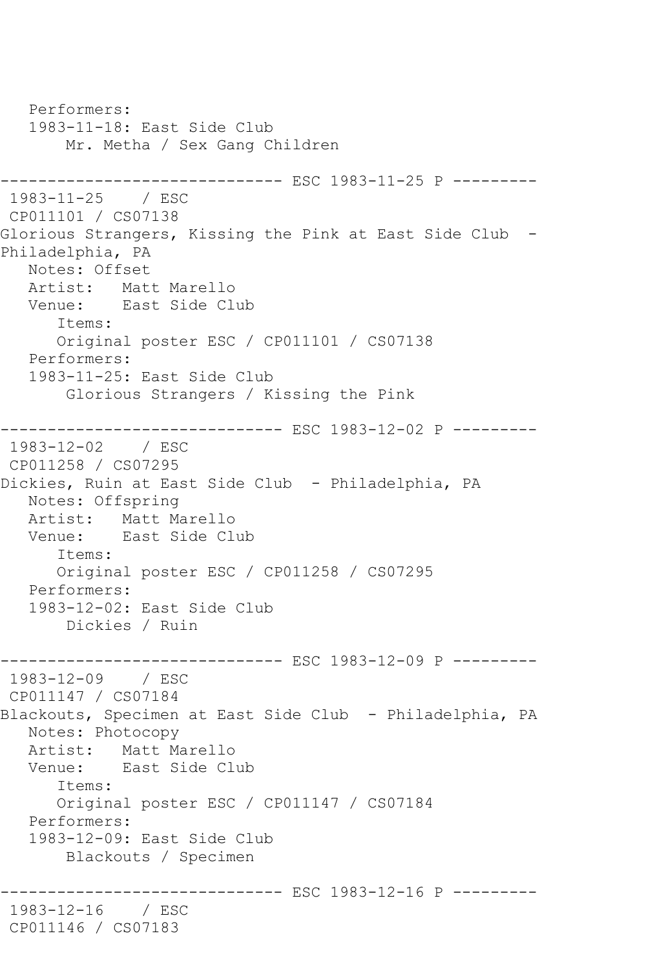Performers: 1983-11-18: East Side Club Mr. Metha / Sex Gang Children ------------------------------ ESC 1983-11-25 P --------- 1983-11-25 / ESC CP011101 / CS07138 Glorious Strangers, Kissing the Pink at East Side Club - Philadelphia, PA Notes: Offset Artist: Matt Marello Venue: East Side Club Items: Original poster ESC / CP011101 / CS07138 Performers: 1983-11-25: East Side Club Glorious Strangers / Kissing the Pink ------------------------------ ESC 1983-12-02 P --------- 1983-12-02 / ESC CP011258 / CS07295 Dickies, Ruin at East Side Club - Philadelphia, PA Notes: Offspring Artist: Matt Marello Venue: East Side Club Items: Original poster ESC / CP011258 / CS07295 Performers: 1983-12-02: East Side Club Dickies / Ruin ------------------------------ ESC 1983-12-09 P --------- 1983-12-09 / ESC CP011147 / CS07184 Blackouts, Specimen at East Side Club - Philadelphia, PA Notes: Photocopy Artist: Matt Marello Venue: East Side Club Items: Original poster ESC / CP011147 / CS07184 Performers: 1983-12-09: East Side Club Blackouts / Specimen ------------------------------ ESC 1983-12-16 P --------- 1983-12-16 / ESC CP011146 / CS07183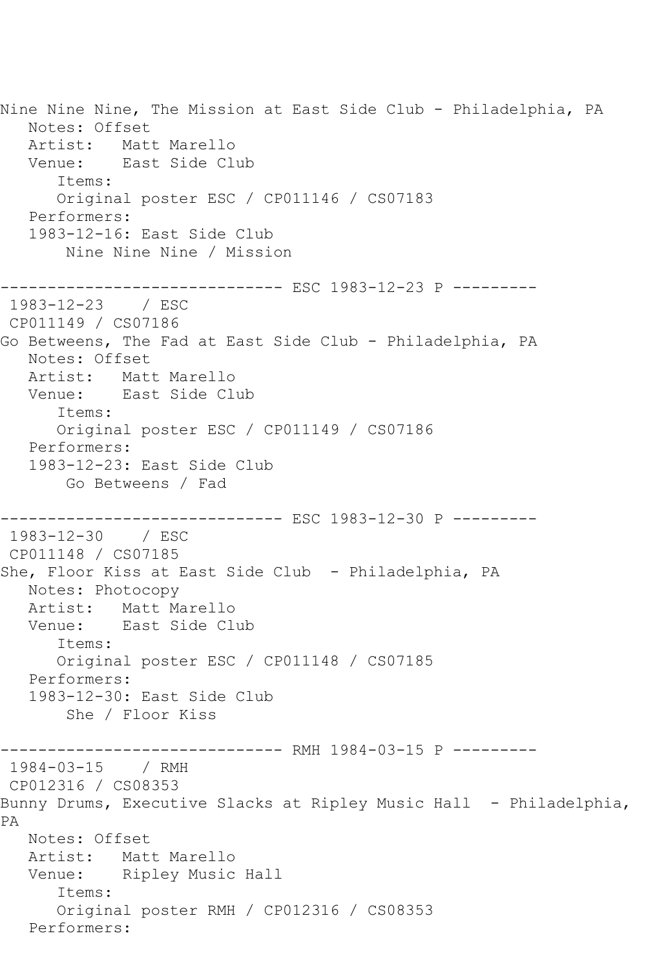Nine Nine Nine, The Mission at East Side Club - Philadelphia, PA Notes: Offset Artist: Matt Marello Venue: East Side Club Items: Original poster ESC / CP011146 / CS07183 Performers: 1983-12-16: East Side Club Nine Nine Nine / Mission ------------------------------ ESC 1983-12-23 P --------- 1983-12-23 / ESC CP011149 / CS07186 Go Betweens, The Fad at East Side Club - Philadelphia, PA Notes: Offset Artist: Matt Marello Venue: East Side Club Items: Original poster ESC / CP011149 / CS07186 Performers: 1983-12-23: East Side Club Go Betweens / Fad ------------------------------ ESC 1983-12-30 P --------- 1983-12-30 / ESC CP011148 / CS07185 She, Floor Kiss at East Side Club - Philadelphia, PA Notes: Photocopy Artist: Matt Marello Venue: East Side Club Items: Original poster ESC / CP011148 / CS07185 Performers: 1983-12-30: East Side Club She / Floor Kiss ------------------------------ RMH 1984-03-15 P --------- 1984-03-15 / RMH CP012316 / CS08353 Bunny Drums, Executive Slacks at Ripley Music Hall - Philadelphia, PA Notes: Offset Artist: Matt Marello<br>Venue: Ripley Music Ripley Music Hall Items: Original poster RMH / CP012316 / CS08353 Performers: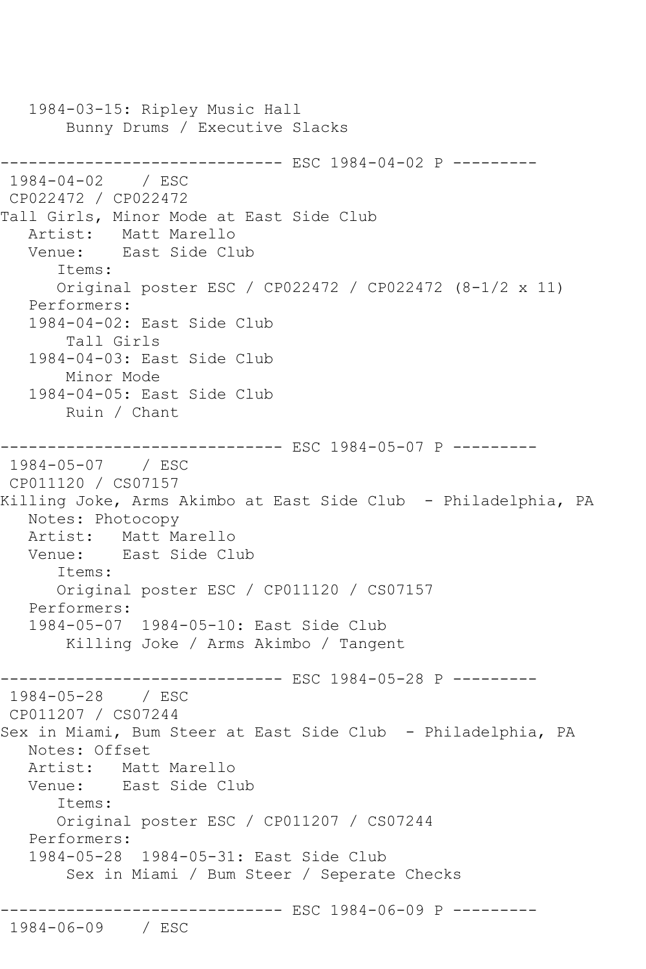1984-03-15: Ripley Music Hall Bunny Drums / Executive Slacks ------------------------------ ESC 1984-04-02 P --------- 1984-04-02 / ESC CP022472 / CP022472 Tall Girls, Minor Mode at East Side Club Artist: Matt Marello Venue: East Side Club Items: Original poster ESC / CP022472 / CP022472 (8-1/2 x 11) Performers: 1984-04-02: East Side Club Tall Girls 1984-04-03: East Side Club Minor Mode 1984-04-05: East Side Club Ruin / Chant ------------------------------ ESC 1984-05-07 P --------- 1984-05-07 / ESC CP011120 / CS07157 Killing Joke, Arms Akimbo at East Side Club - Philadelphia, PA Notes: Photocopy Artist: Matt Marello<br>Venue: East Side Cl East Side Club Items: Original poster ESC / CP011120 / CS07157 Performers: 1984-05-07 1984-05-10: East Side Club Killing Joke / Arms Akimbo / Tangent ------------------------------ ESC 1984-05-28 P --------- 1984-05-28 / ESC CP011207 / CS07244 Sex in Miami, Bum Steer at East Side Club - Philadelphia, PA Notes: Offset Artist: Matt Marello Venue: East Side Club Items: Original poster ESC / CP011207 / CS07244 Performers: 1984-05-28 1984-05-31: East Side Club Sex in Miami / Bum Steer / Seperate Checks ------------------------------ ESC 1984-06-09 P --------- 1984-06-09 / ESC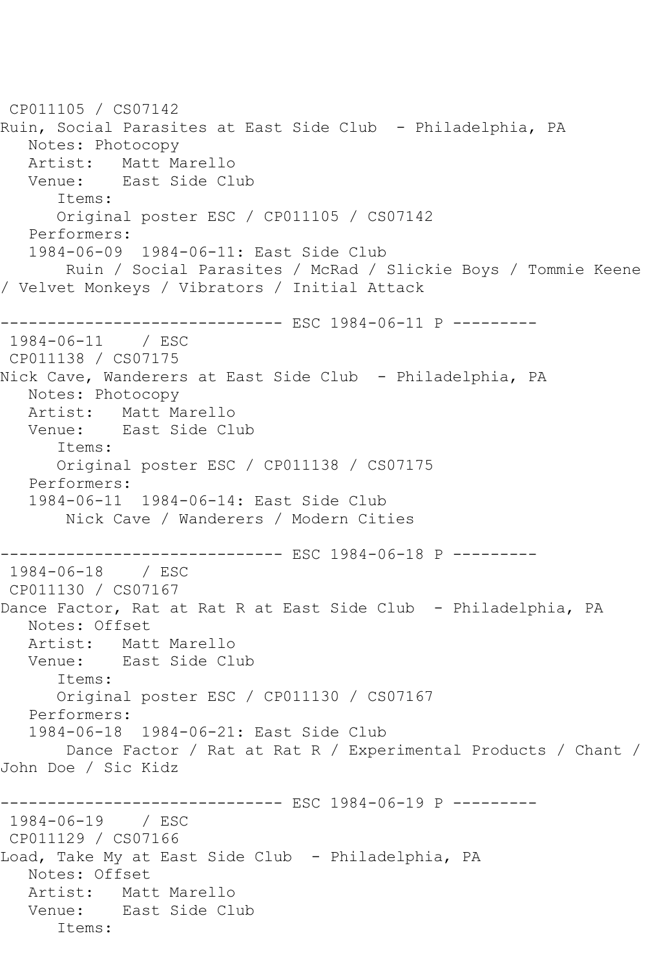```
CP011105 / CS07142
Ruin, Social Parasites at East Side Club - Philadelphia, PA
   Notes: Photocopy
  Artist: Matt Marello<br>Venue: East Side Cl
           East Side Club
       Items:
      Original poster ESC / CP011105 / CS07142
   Performers:
   1984-06-09 1984-06-11: East Side Club
       Ruin / Social Parasites / McRad / Slickie Boys / Tommie Keene 
/ Velvet Monkeys / Vibrators / Initial Attack
------------------------------ ESC 1984-06-11 P ---------
1984-06-11 / ESC 
CP011138 / CS07175
Nick Cave, Wanderers at East Side Club - Philadelphia, PA
   Notes: Photocopy
   Artist: Matt Marello
   Venue: East Side Club
      Items:
      Original poster ESC / CP011138 / CS07175
   Performers:
   1984-06-11 1984-06-14: East Side Club
       Nick Cave / Wanderers / Modern Cities
------------------------------ ESC 1984-06-18 P ---------
1984-06-18 / ESC 
CP011130 / CS07167
Dance Factor, Rat at Rat R at East Side Club - Philadelphia, PA
   Notes: Offset
   Artist: Matt Marello
   Venue: East Side Club
       Items:
      Original poster ESC / CP011130 / CS07167
   Performers:
   1984-06-18 1984-06-21: East Side Club
       Dance Factor / Rat at Rat R / Experimental Products / Chant / 
John Doe / Sic Kidz
------------------------------ ESC 1984-06-19 P ---------
1984-06-19 / ESC 
CP011129 / CS07166
Load, Take My at East Side Club - Philadelphia, PA
   Notes: Offset
   Artist: Matt Marello
   Venue: East Side Club
      Items:
```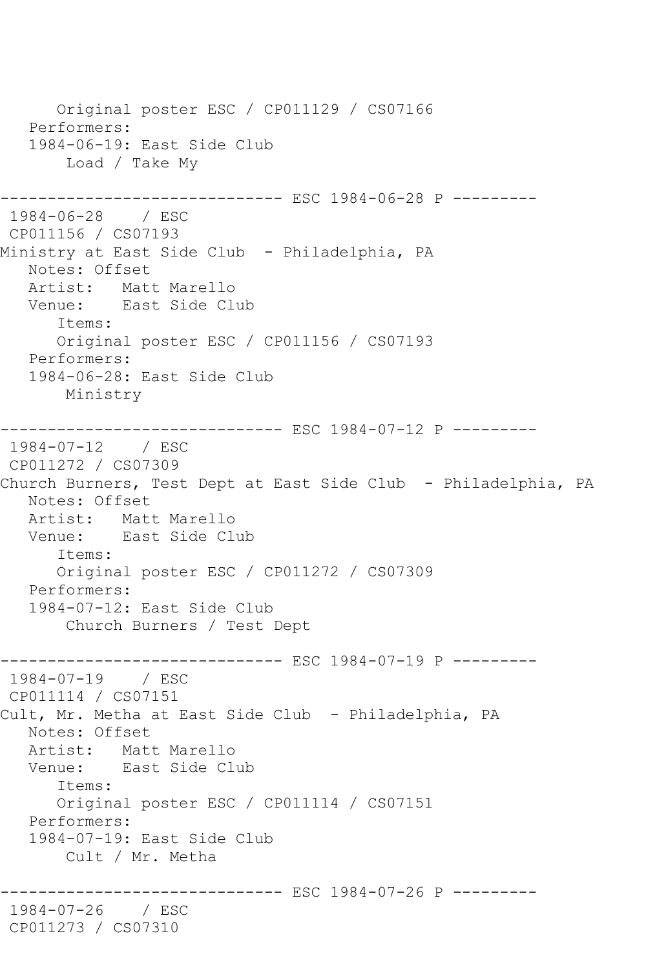Original poster ESC / CP011129 / CS07166 Performers: 1984-06-19: East Side Club Load / Take My ------------------------------ ESC 1984-06-28 P --------- 1984-06-28 / ESC CP011156 / CS07193 Ministry at East Side Club - Philadelphia, PA Notes: Offset Artist: Matt Marello Venue: East Side Club Items: Original poster ESC / CP011156 / CS07193 Performers: 1984-06-28: East Side Club Ministry ------------------------------ ESC 1984-07-12 P --------- 1984-07-12 / ESC CP011272 / CS07309 Church Burners, Test Dept at East Side Club - Philadelphia, PA Notes: Offset Artist: Matt Marello Venue: East Side Club Items: Original poster ESC / CP011272 / CS07309 Performers: 1984-07-12: East Side Club Church Burners / Test Dept ------------------------------ ESC 1984-07-19 P --------- 1984-07-19 / ESC CP011114 / CS07151 Cult, Mr. Metha at East Side Club - Philadelphia, PA Notes: Offset Artist: Matt Marello Venue: East Side Club Items: Original poster ESC / CP011114 / CS07151 Performers: 1984-07-19: East Side Club Cult / Mr. Metha ------------------------------ ESC 1984-07-26 P --------- 1984-07-26 / ESC CP011273 / CS07310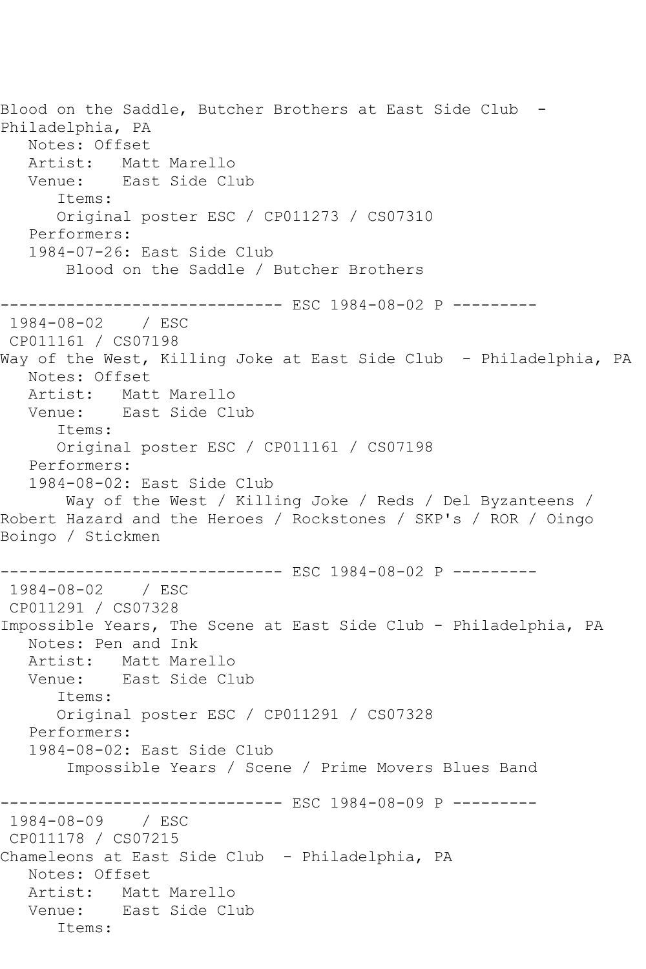Blood on the Saddle, Butcher Brothers at East Side Club - Philadelphia, PA Notes: Offset Artist: Matt Marello<br>Venue: East Side Cl East Side Club Items: Original poster ESC / CP011273 / CS07310 Performers: 1984-07-26: East Side Club Blood on the Saddle / Butcher Brothers ------------------------------ ESC 1984-08-02 P --------- 1984-08-02 / ESC CP011161 / CS07198 Way of the West, Killing Joke at East Side Club - Philadelphia, PA Notes: Offset Artist: Matt Marello Venue: East Side Club Items: Original poster ESC / CP011161 / CS07198 Performers: 1984-08-02: East Side Club Way of the West / Killing Joke / Reds / Del Byzanteens / Robert Hazard and the Heroes / Rockstones / SKP's / ROR / Oingo Boingo / Stickmen ------------------------------ ESC 1984-08-02 P --------- 1984-08-02 / ESC CP011291 / CS07328 Impossible Years, The Scene at East Side Club - Philadelphia, PA Notes: Pen and Ink Artist: Matt Marello Venue: East Side Club Items: Original poster ESC / CP011291 / CS07328 Performers: 1984-08-02: East Side Club Impossible Years / Scene / Prime Movers Blues Band ------------------------------ ESC 1984-08-09 P --------- 1984-08-09 / ESC CP011178 / CS07215 Chameleons at East Side Club - Philadelphia, PA Notes: Offset Artist: Matt Marello Venue: East Side Club Items: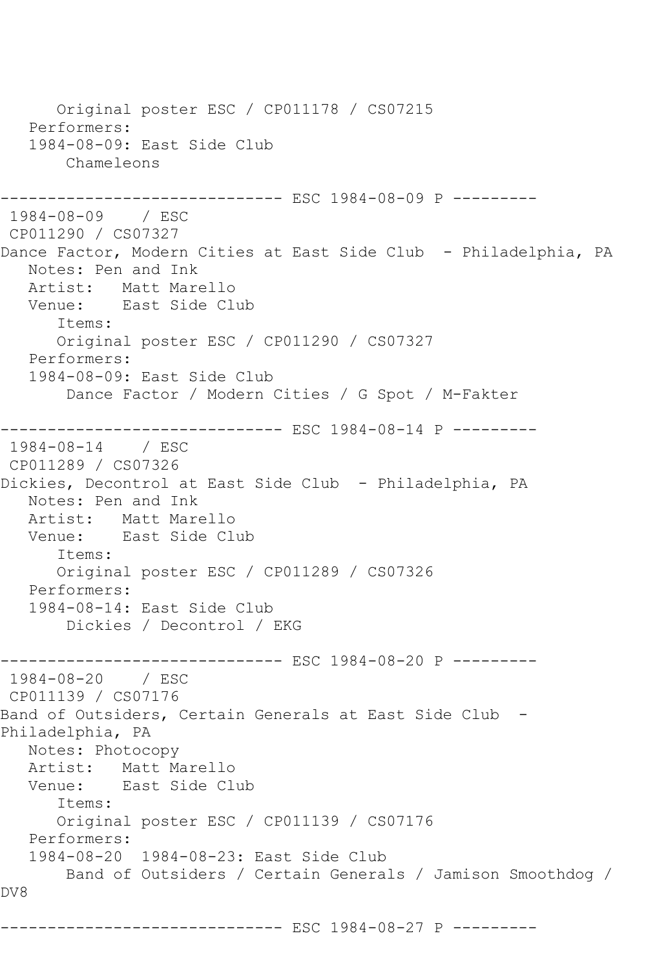Original poster ESC / CP011178 / CS07215 Performers: 1984-08-09: East Side Club Chameleons ------------ ESC 1984-08-09 P ---------1984-08-09 / ESC CP011290 / CS07327 Dance Factor, Modern Cities at East Side Club - Philadelphia, PA Notes: Pen and Ink Artist: Matt Marello<br>Venue: East Side Cl East Side Club Items: Original poster ESC / CP011290 / CS07327 Performers: 1984-08-09: East Side Club Dance Factor / Modern Cities / G Spot / M-Fakter ------------------------------ ESC 1984-08-14 P --------- 1984-08-14 / ESC CP011289 / CS07326 Dickies, Decontrol at East Side Club - Philadelphia, PA Notes: Pen and Ink Artist: Matt Marello Venue: East Side Club Items: Original poster ESC / CP011289 / CS07326 Performers: 1984-08-14: East Side Club Dickies / Decontrol / EKG ------------------------------ ESC 1984-08-20 P --------- 1984-08-20 / ESC CP011139 / CS07176 Band of Outsiders, Certain Generals at East Side Club - Philadelphia, PA Notes: Photocopy Artist: Matt Marello Venue: East Side Club Items: Original poster ESC / CP011139 / CS07176 Performers: 1984-08-20 1984-08-23: East Side Club Band of Outsiders / Certain Generals / Jamison Smoothdog / DV8 ------------------------------ ESC 1984-08-27 P ---------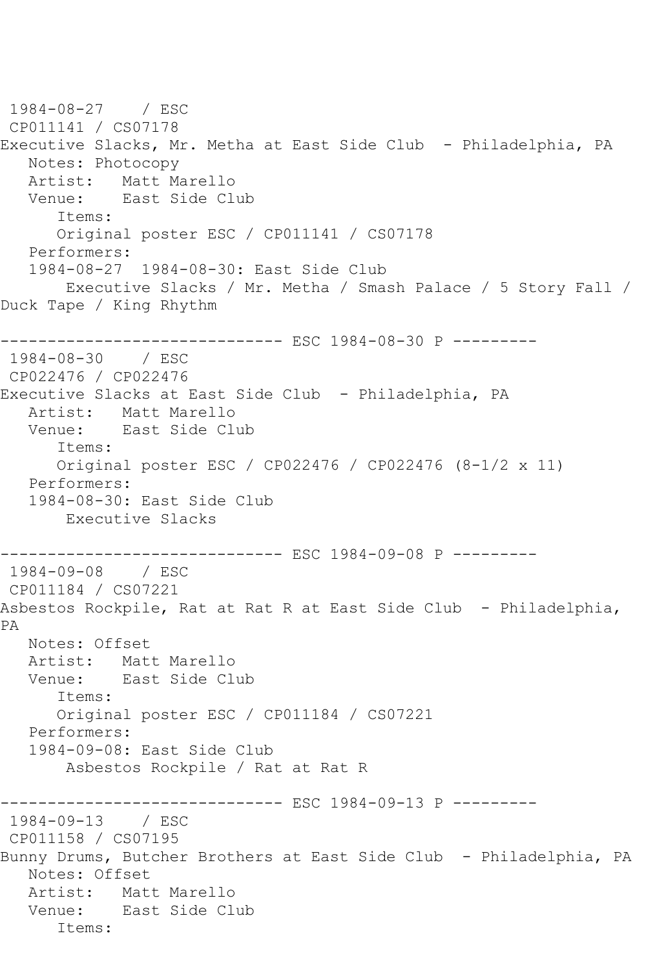1984-08-27 / ESC CP011141 / CS07178 Executive Slacks, Mr. Metha at East Side Club - Philadelphia, PA Notes: Photocopy Artist: Matt Marello Venue: East Side Club Items: Original poster ESC / CP011141 / CS07178 Performers: 1984-08-27 1984-08-30: East Side Club Executive Slacks / Mr. Metha / Smash Palace / 5 Story Fall / Duck Tape / King Rhythm ------------------------------ ESC 1984-08-30 P --------- 1984-08-30 / ESC CP022476 / CP022476 Executive Slacks at East Side Club - Philadelphia, PA Artist: Matt Marello Venue: East Side Club Items: Original poster ESC / CP022476 / CP022476 (8-1/2 x 11) Performers: 1984-08-30: East Side Club Executive Slacks ------------------------------ ESC 1984-09-08 P --------- 1984-09-08 / ESC CP011184 / CS07221 Asbestos Rockpile, Rat at Rat R at East Side Club - Philadelphia, PA Notes: Offset Artist: Matt Marello Venue: East Side Club Items: Original poster ESC / CP011184 / CS07221 Performers: 1984-09-08: East Side Club Asbestos Rockpile / Rat at Rat R ------------------------------ ESC 1984-09-13 P --------- 1984-09-13 / ESC CP011158 / CS07195 Bunny Drums, Butcher Brothers at East Side Club - Philadelphia, PA Notes: Offset Artist: Matt Marello Venue: East Side Club Items: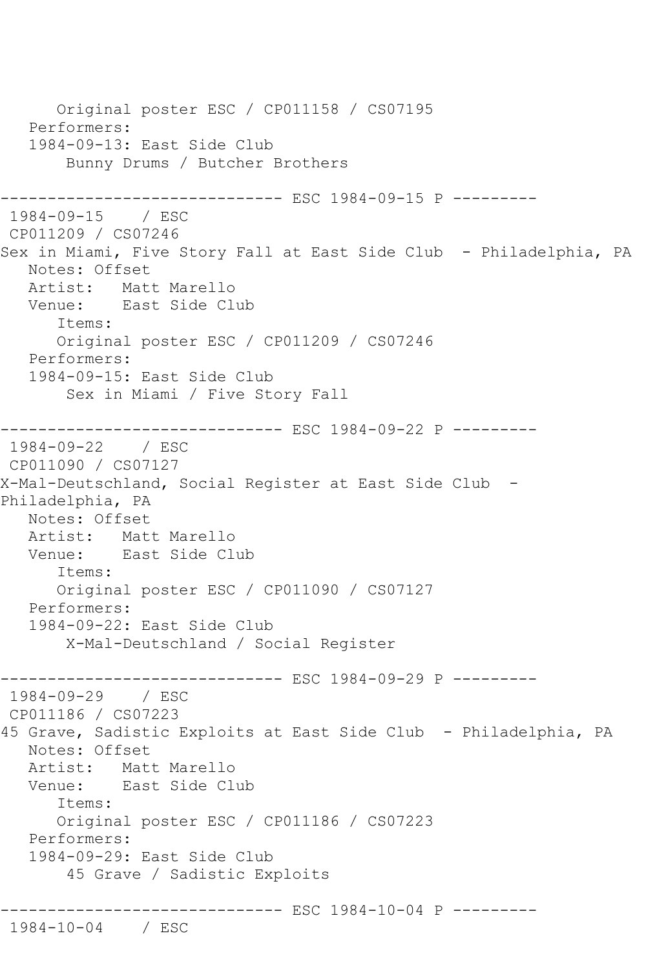Original poster ESC / CP011158 / CS07195 Performers: 1984-09-13: East Side Club Bunny Drums / Butcher Brothers ------------------------------ ESC 1984-09-15 P --------- 1984-09-15 / ESC CP011209 / CS07246 Sex in Miami, Five Story Fall at East Side Club - Philadelphia, PA Notes: Offset Artist: Matt Marello<br>Venue: East Side Cli East Side Club Items: Original poster ESC / CP011209 / CS07246 Performers: 1984-09-15: East Side Club Sex in Miami / Five Story Fall ------------------------------ ESC 1984-09-22 P --------- 1984-09-22 / ESC CP011090 / CS07127 X-Mal-Deutschland, Social Register at East Side Club - Philadelphia, PA Notes: Offset Artist: Matt Marello<br>Venue: East Side Cl East Side Club Items: Original poster ESC / CP011090 / CS07127 Performers: 1984-09-22: East Side Club X-Mal-Deutschland / Social Register ------------------------------ ESC 1984-09-29 P --------- 1984-09-29 / ESC CP011186 / CS07223 45 Grave, Sadistic Exploits at East Side Club - Philadelphia, PA Notes: Offset Artist: Matt Marello Venue: East Side Club Items: Original poster ESC / CP011186 / CS07223 Performers: 1984-09-29: East Side Club 45 Grave / Sadistic Exploits ---------------------------- ESC 1984-10-04 P ---------1984-10-04 / ESC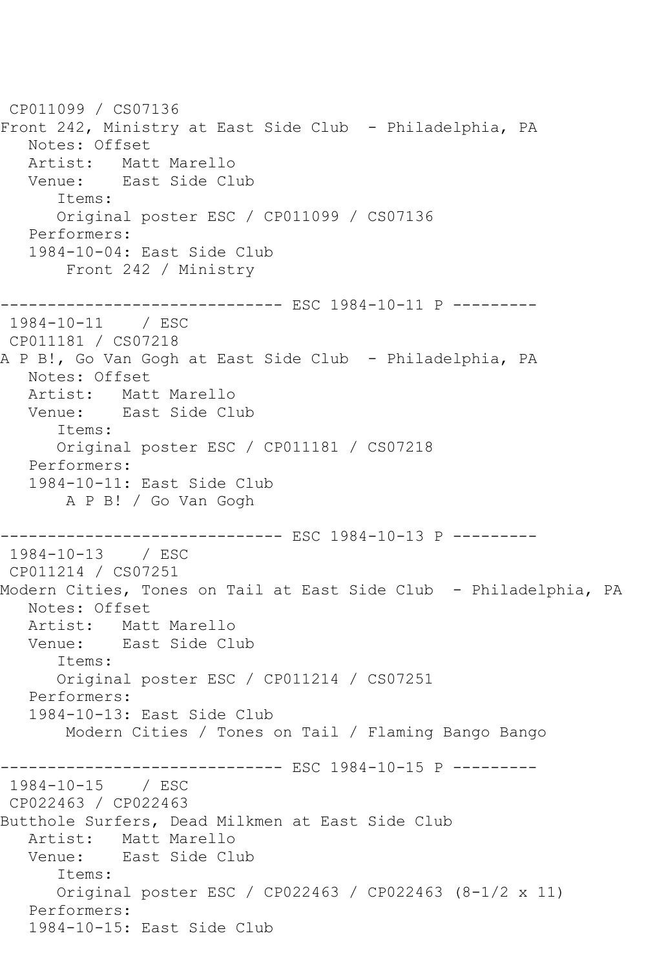CP011099 / CS07136 Front 242, Ministry at East Side Club - Philadelphia, PA Notes: Offset Artist: Matt Marello<br>Venue: East Side Cl East Side Club Items: Original poster ESC / CP011099 / CS07136 Performers: 1984-10-04: East Side Club Front 242 / Ministry ------------------------------ ESC 1984-10-11 P --------- 1984-10-11 / ESC CP011181 / CS07218 A P B!, Go Van Gogh at East Side Club - Philadelphia, PA Notes: Offset Artist: Matt Marello Venue: East Side Club Items: Original poster ESC / CP011181 / CS07218 Performers: 1984-10-11: East Side Club A P B! / Go Van Gogh ------------------------------ ESC 1984-10-13 P --------- 1984-10-13 / ESC CP011214 / CS07251 Modern Cities, Tones on Tail at East Side Club - Philadelphia, PA Notes: Offset Artist: Matt Marello Venue: East Side Club Items: Original poster ESC / CP011214 / CS07251 Performers: 1984-10-13: East Side Club Modern Cities / Tones on Tail / Flaming Bango Bango ------------------------------ ESC 1984-10-15 P --------- 1984-10-15 / ESC CP022463 / CP022463 Butthole Surfers, Dead Milkmen at East Side Club Artist: Matt Marello Venue: East Side Club Items: Original poster ESC / CP022463 / CP022463 (8-1/2 x 11) Performers: 1984-10-15: East Side Club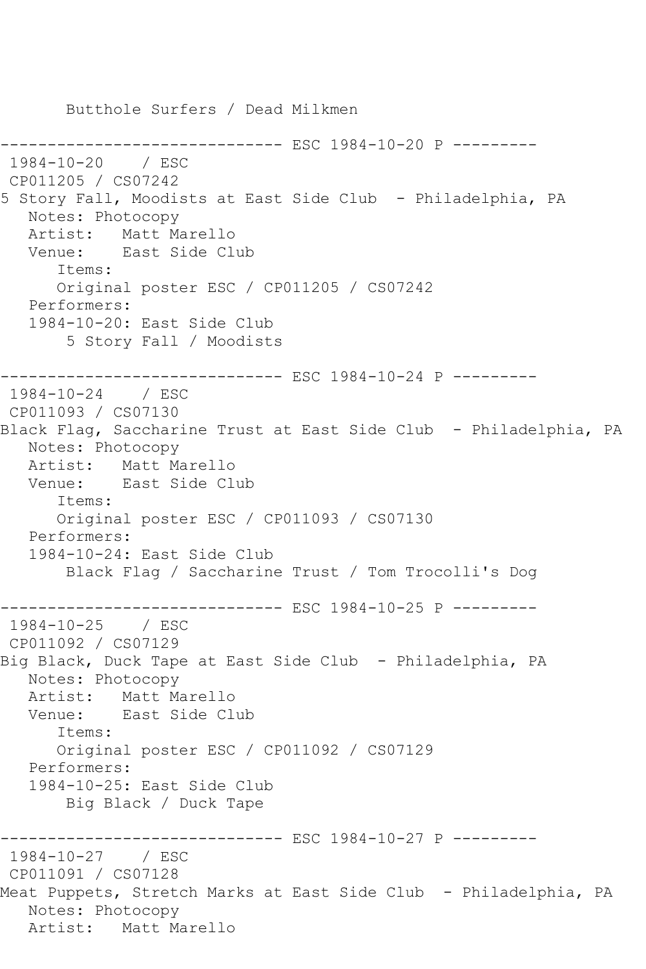Butthole Surfers / Dead Milkmen ----------- ESC 1984-10-20 P ---------1984-10-20 / ESC CP011205 / CS07242 5 Story Fall, Moodists at East Side Club - Philadelphia, PA Notes: Photocopy Artist: Matt Marello Venue: East Side Club Items: Original poster ESC / CP011205 / CS07242 Performers: 1984-10-20: East Side Club 5 Story Fall / Moodists ------------- ESC 1984-10-24 P ----------1984-10-24 / ESC CP011093 / CS07130 Black Flag, Saccharine Trust at East Side Club - Philadelphia, PA Notes: Photocopy Artist: Matt Marello Venue: East Side Club Items: Original poster ESC / CP011093 / CS07130 Performers: 1984-10-24: East Side Club Black Flag / Saccharine Trust / Tom Trocolli's Dog ------------------------------ ESC 1984-10-25 P --------- 1984-10-25 / ESC CP011092 / CS07129 Big Black, Duck Tape at East Side Club - Philadelphia, PA Notes: Photocopy Artist: Matt Marello Venue: East Side Club Items: Original poster ESC / CP011092 / CS07129 Performers: 1984-10-25: East Side Club Big Black / Duck Tape ------------------------------ ESC 1984-10-27 P --------- 1984-10-27 / ESC CP011091 / CS07128 Meat Puppets, Stretch Marks at East Side Club - Philadelphia, PA Notes: Photocopy Artist: Matt Marello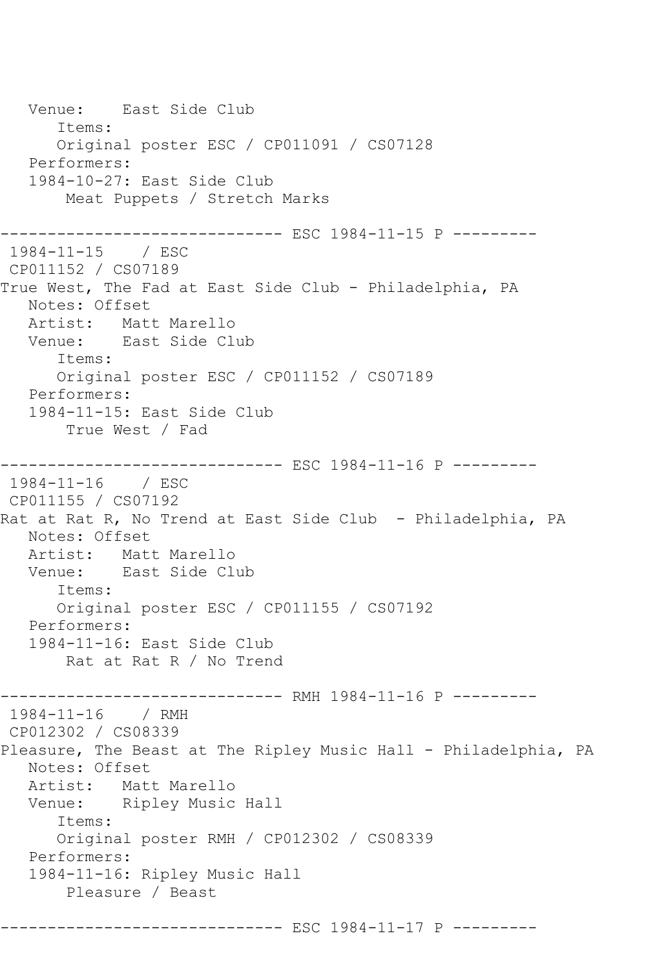Venue: East Side Club Items: Original poster ESC / CP011091 / CS07128 Performers: 1984-10-27: East Side Club Meat Puppets / Stretch Marks ------------------------------ ESC 1984-11-15 P --------- 1984-11-15 / ESC CP011152 / CS07189 True West, The Fad at East Side Club - Philadelphia, PA Notes: Offset Artist: Matt Marello Venue: East Side Club Items: Original poster ESC / CP011152 / CS07189 Performers: 1984-11-15: East Side Club True West / Fad ------------------------------ ESC 1984-11-16 P --------- 1984-11-16 / ESC CP011155 / CS07192 Rat at Rat R, No Trend at East Side Club - Philadelphia, PA Notes: Offset Artist: Matt Marello Venue: East Side Club Items: Original poster ESC / CP011155 / CS07192 Performers: 1984-11-16: East Side Club Rat at Rat R / No Trend ------------------------------ RMH 1984-11-16 P --------- 1984-11-16 / RMH CP012302 / CS08339 Pleasure, The Beast at The Ripley Music Hall - Philadelphia, PA Notes: Offset Artist: Matt Marello Venue: Ripley Music Hall Items: Original poster RMH / CP012302 / CS08339 Performers: 1984-11-16: Ripley Music Hall Pleasure / Beast ------------------------------ ESC 1984-11-17 P ---------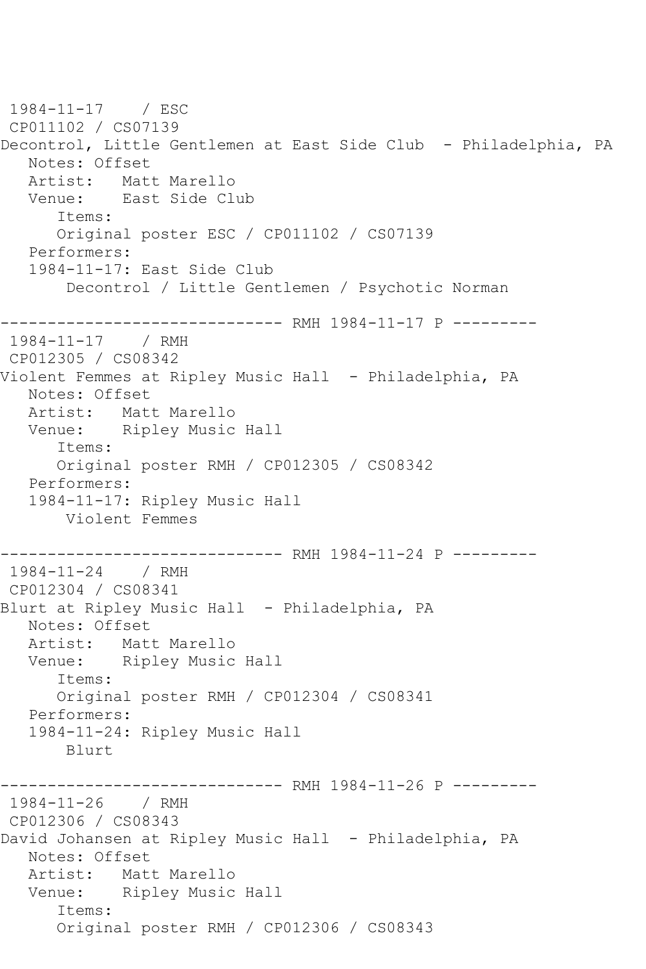1984-11-17 / ESC CP011102 / CS07139 Decontrol, Little Gentlemen at East Side Club - Philadelphia, PA Notes: Offset Artist: Matt Marello Venue: East Side Club Items: Original poster ESC / CP011102 / CS07139 Performers: 1984-11-17: East Side Club Decontrol / Little Gentlemen / Psychotic Norman ------------------------------ RMH 1984-11-17 P --------- 1984-11-17 / RMH CP012305 / CS08342 Violent Femmes at Ripley Music Hall - Philadelphia, PA Notes: Offset Artist: Matt Marello Venue: Ripley Music Hall Items: Original poster RMH / CP012305 / CS08342 Performers: 1984-11-17: Ripley Music Hall Violent Femmes ------------------------------ RMH 1984-11-24 P --------- 1984-11-24 / RMH CP012304 / CS08341 Blurt at Ripley Music Hall - Philadelphia, PA Notes: Offset Artist: Matt Marello Venue: Ripley Music Hall Items: Original poster RMH / CP012304 / CS08341 Performers: 1984-11-24: Ripley Music Hall Blurt ------------------------------ RMH 1984-11-26 P --------- 1984-11-26 / RMH CP012306 / CS08343 David Johansen at Ripley Music Hall - Philadelphia, PA Notes: Offset Artist: Matt Marello Venue: Ripley Music Hall Items: Original poster RMH / CP012306 / CS08343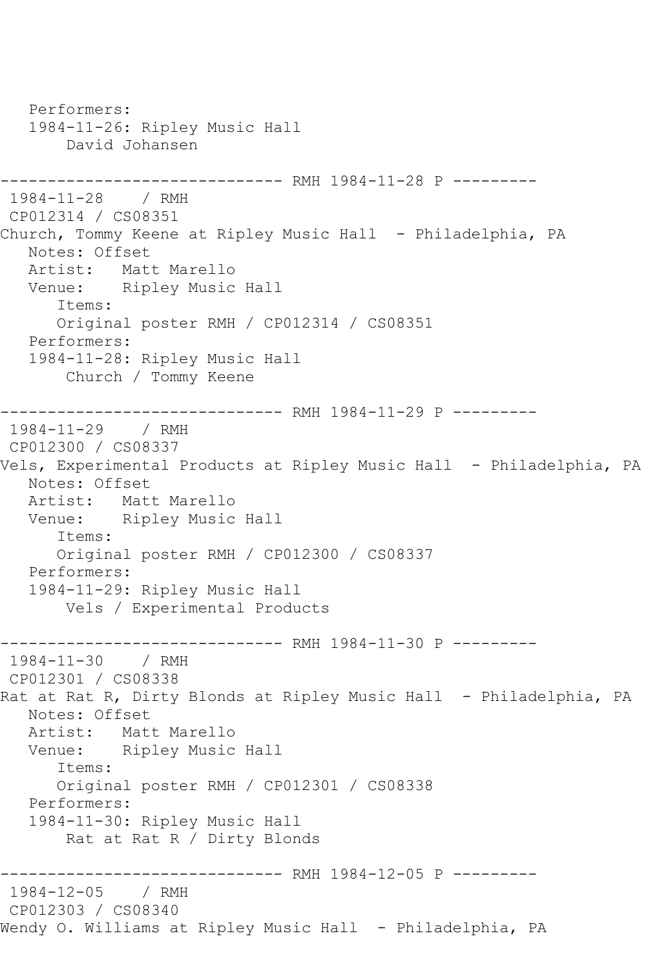Performers: 1984-11-26: Ripley Music Hall David Johansen ------------------------------ RMH 1984-11-28 P --------- 1984-11-28 / RMH CP012314 / CS08351 Church, Tommy Keene at Ripley Music Hall - Philadelphia, PA Notes: Offset Artist: Matt Marello Venue: Ripley Music Hall Items: Original poster RMH / CP012314 / CS08351 Performers: 1984-11-28: Ripley Music Hall Church / Tommy Keene ------------------------------ RMH 1984-11-29 P --------- 1984-11-29 / RMH CP012300 / CS08337 Vels, Experimental Products at Ripley Music Hall - Philadelphia, PA Notes: Offset Artist: Matt Marello Venue: Ripley Music Hall Items: Original poster RMH / CP012300 / CS08337 Performers: 1984-11-29: Ripley Music Hall Vels / Experimental Products ---------- RMH 1984-11-30 P ---------1984-11-30 / RMH CP012301 / CS08338 Rat at Rat R, Dirty Blonds at Ripley Music Hall - Philadelphia, PA Notes: Offset Artist: Matt Marello Venue: Ripley Music Hall Items: Original poster RMH / CP012301 / CS08338 Performers: 1984-11-30: Ripley Music Hall Rat at Rat R / Dirty Blonds ------------ RMH 1984-12-05 P ---------1984-12-05 / RMH CP012303 / CS08340 Wendy O. Williams at Ripley Music Hall - Philadelphia, PA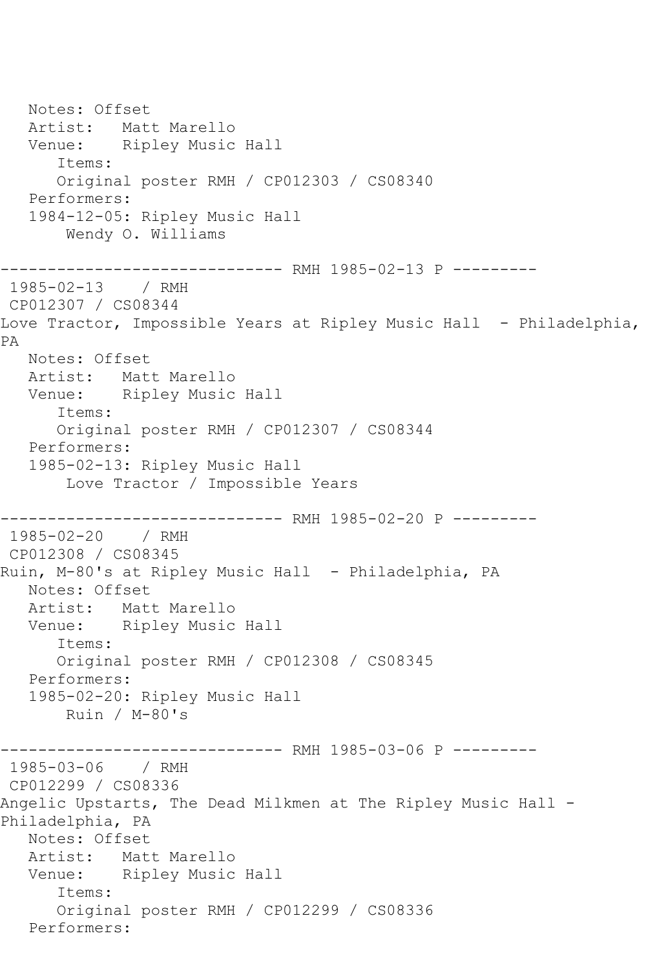Notes: Offset Artist: Matt Marello Venue: Ripley Music Hall Items: Original poster RMH / CP012303 / CS08340 Performers: 1984-12-05: Ripley Music Hall Wendy O. Williams ------------------------------ RMH 1985-02-13 P --------- 1985-02-13 / RMH CP012307 / CS08344 Love Tractor, Impossible Years at Ripley Music Hall - Philadelphia, PA Notes: Offset Artist: Matt Marello Venue: Ripley Music Hall Items: Original poster RMH / CP012307 / CS08344 Performers: 1985-02-13: Ripley Music Hall Love Tractor / Impossible Years ------------------------------ RMH 1985-02-20 P --------- 1985-02-20 / RMH CP012308 / CS08345 Ruin, M-80's at Ripley Music Hall - Philadelphia, PA Notes: Offset Artist: Matt Marello Venue: Ripley Music Hall Items: Original poster RMH / CP012308 / CS08345 Performers: 1985-02-20: Ripley Music Hall Ruin / M-80's ------------------------------ RMH 1985-03-06 P --------- 1985-03-06 / RMH CP012299 / CS08336 Angelic Upstarts, The Dead Milkmen at The Ripley Music Hall - Philadelphia, PA Notes: Offset Artist: Matt Marello Venue: Ripley Music Hall Items: Original poster RMH / CP012299 / CS08336 Performers: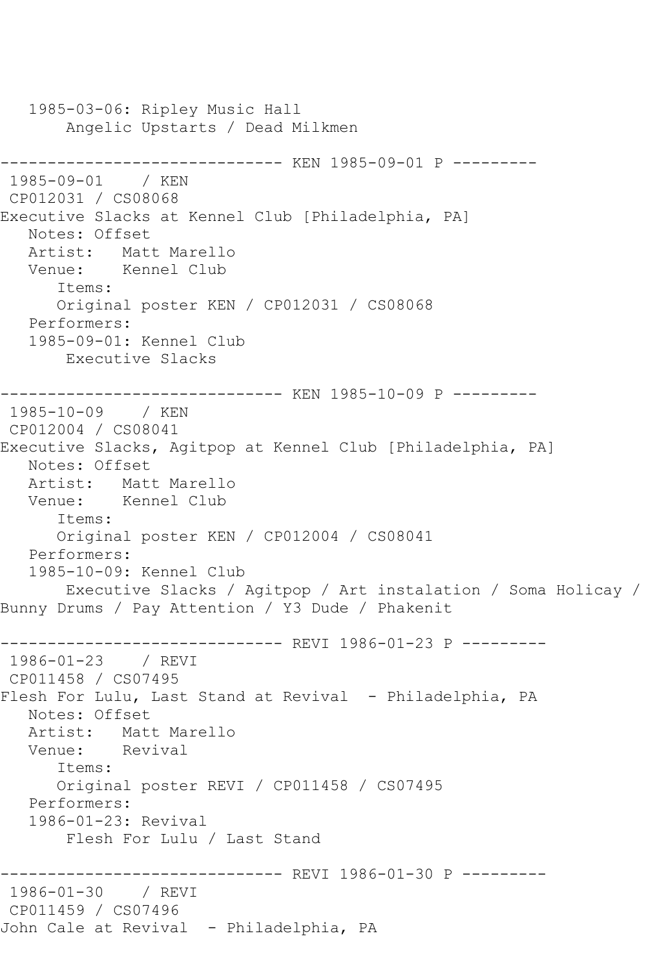1985-03-06: Ripley Music Hall Angelic Upstarts / Dead Milkmen ------------------------------ KEN 1985-09-01 P --------- 1985-09-01 / KEN CP012031 / CS08068 Executive Slacks at Kennel Club [Philadelphia, PA] Notes: Offset Artist: Matt Marello Venue: Kennel Club Items: Original poster KEN / CP012031 / CS08068 Performers: 1985-09-01: Kennel Club Executive Slacks ------------------------------ KEN 1985-10-09 P --------- 1985-10-09 / KEN CP012004 / CS08041 Executive Slacks, Agitpop at Kennel Club [Philadelphia, PA] Notes: Offset Artist: Matt Marello Venue: Kennel Club Items: Original poster KEN / CP012004 / CS08041 Performers: 1985-10-09: Kennel Club Executive Slacks / Agitpop / Art instalation / Soma Holicay / Bunny Drums / Pay Attention / Y3 Dude / Phakenit ------------------------------ REVI 1986-01-23 P --------- 1986-01-23 / REVI CP011458 / CS07495 Flesh For Lulu, Last Stand at Revival - Philadelphia, PA Notes: Offset Artist: Matt Marello Venue: Revival Items: Original poster REVI / CP011458 / CS07495 Performers: 1986-01-23: Revival Flesh For Lulu / Last Stand ------------------------------ REVI 1986-01-30 P --------- 1986-01-30 / REVI CP011459 / CS07496 John Cale at Revival - Philadelphia, PA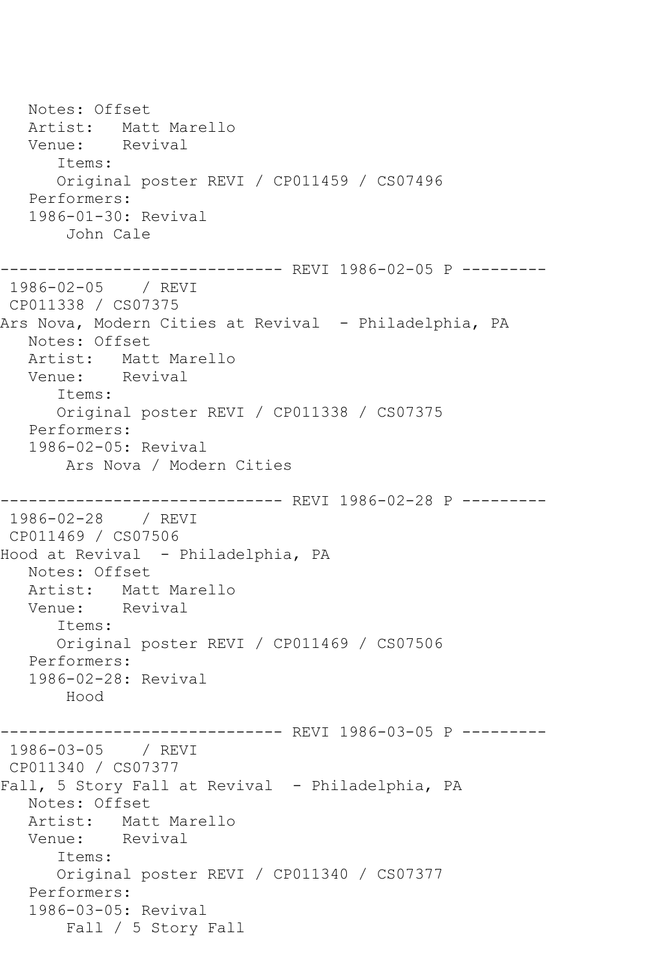Notes: Offset Artist: Matt Marello Venue: Revival Items: Original poster REVI / CP011459 / CS07496 Performers: 1986-01-30: Revival John Cale ------------------------------ REVI 1986-02-05 P --------- 1986-02-05 / REVI CP011338 / CS07375 Ars Nova, Modern Cities at Revival - Philadelphia, PA Notes: Offset Artist: Matt Marello Venue: Revival Items: Original poster REVI / CP011338 / CS07375 Performers: 1986-02-05: Revival Ars Nova / Modern Cities ------------------------------ REVI 1986-02-28 P --------- 1986-02-28 / REVI CP011469 / CS07506 Hood at Revival - Philadelphia, PA Notes: Offset Artist: Matt Marello Venue: Revival Items: Original poster REVI / CP011469 / CS07506 Performers: 1986-02-28: Revival Hood ------------------------------ REVI 1986-03-05 P --------- 1986-03-05 / REVI CP011340 / CS07377 Fall, 5 Story Fall at Revival - Philadelphia, PA Notes: Offset Artist: Matt Marello Venue: Revival Items: Original poster REVI / CP011340 / CS07377 Performers: 1986-03-05: Revival Fall / 5 Story Fall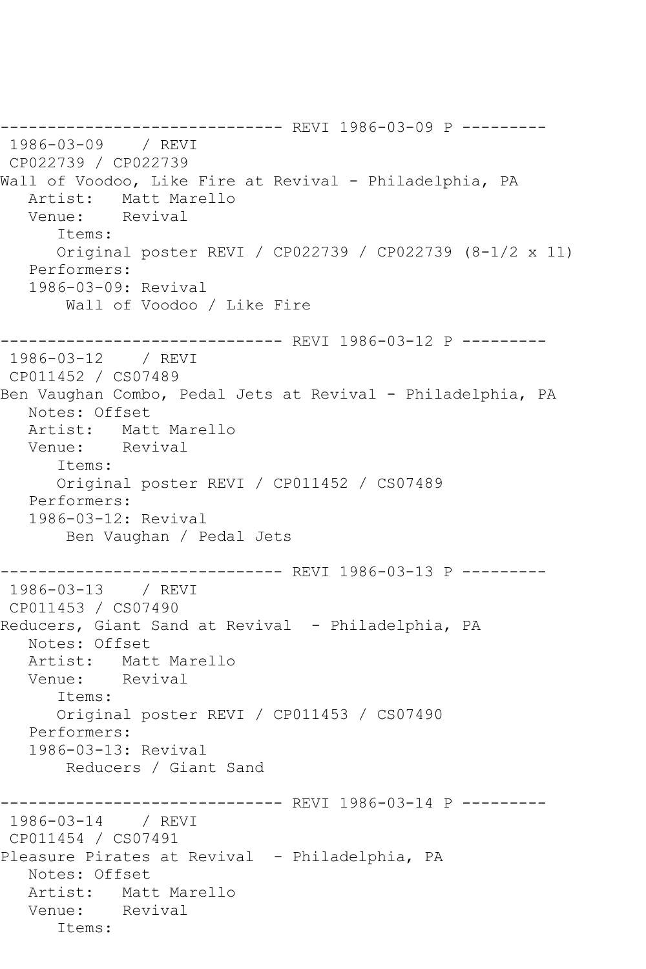------------------------------ REVI 1986-03-09 P --------- 1986-03-09 / REVI CP022739 / CP022739 Wall of Voodoo, Like Fire at Revival - Philadelphia, PA Artist: Matt Marello<br>Venue: Revival Revival Items: Original poster REVI / CP022739 / CP022739 (8-1/2 x 11) Performers: 1986-03-09: Revival Wall of Voodoo / Like Fire ------------------------------ REVI 1986-03-12 P --------- 1986-03-12 / REVI CP011452 / CS07489 Ben Vaughan Combo, Pedal Jets at Revival - Philadelphia, PA Notes: Offset<br>Artist: Mati Matt Marello Venue: Revival Items: Original poster REVI / CP011452 / CS07489 Performers: 1986-03-12: Revival Ben Vaughan / Pedal Jets ------------------------------ REVI 1986-03-13 P --------- 1986-03-13 / REVI CP011453 / CS07490 Reducers, Giant Sand at Revival - Philadelphia, PA Notes: Offset Artist: Matt Marello Venue: Revival Items: Original poster REVI / CP011453 / CS07490 Performers: 1986-03-13: Revival Reducers / Giant Sand ------------------------------ REVI 1986-03-14 P --------- 1986-03-14 / REVI CP011454 / CS07491 Pleasure Pirates at Revival - Philadelphia, PA Notes: Offset Artist: Matt Marello Venue: Revival Items: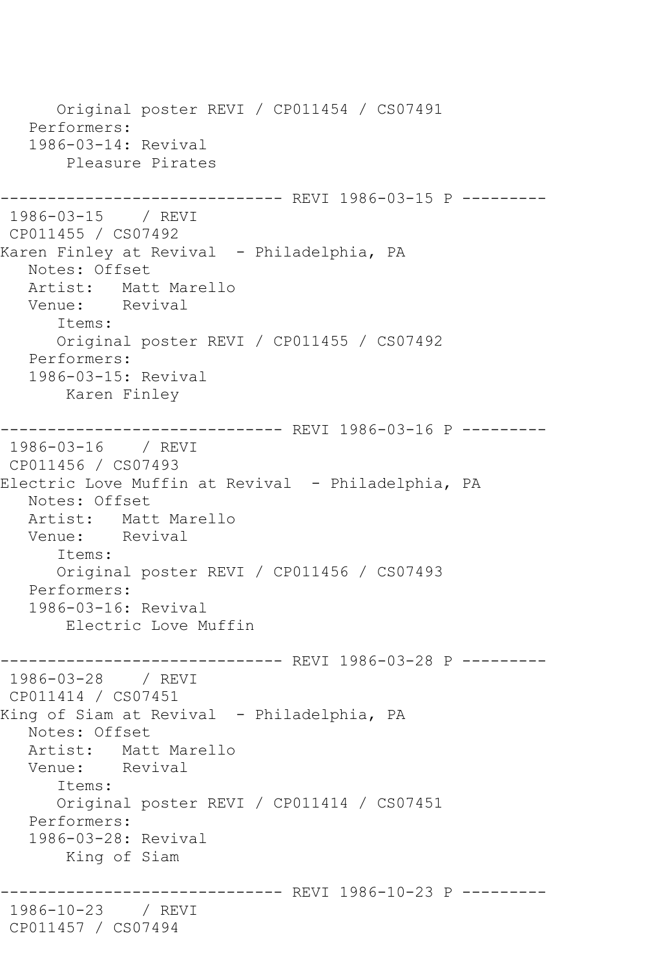Original poster REVI / CP011454 / CS07491 Performers: 1986-03-14: Revival Pleasure Pirates ------------------------------ REVI 1986-03-15 P --------- 1986-03-15 / REVI CP011455 / CS07492 Karen Finley at Revival - Philadelphia, PA Notes: Offset Artist: Matt Marello Venue: Revival Items: Original poster REVI / CP011455 / CS07492 Performers: 1986-03-15: Revival Karen Finley ------------------------------ REVI 1986-03-16 P --------- 1986-03-16 / REVI CP011456 / CS07493 Electric Love Muffin at Revival - Philadelphia, PA Notes: Offset Artist: Matt Marello Venue: Revival Items: Original poster REVI / CP011456 / CS07493 Performers: 1986-03-16: Revival Electric Love Muffin ------------------------------ REVI 1986-03-28 P --------- 1986-03-28 / REVI CP011414 / CS07451 King of Siam at Revival - Philadelphia, PA Notes: Offset Artist: Matt Marello Venue: Revival Items: Original poster REVI / CP011414 / CS07451 Performers: 1986-03-28: Revival King of Siam ------------------------------ REVI 1986-10-23 P --------- 1986-10-23 / REVI CP011457 / CS07494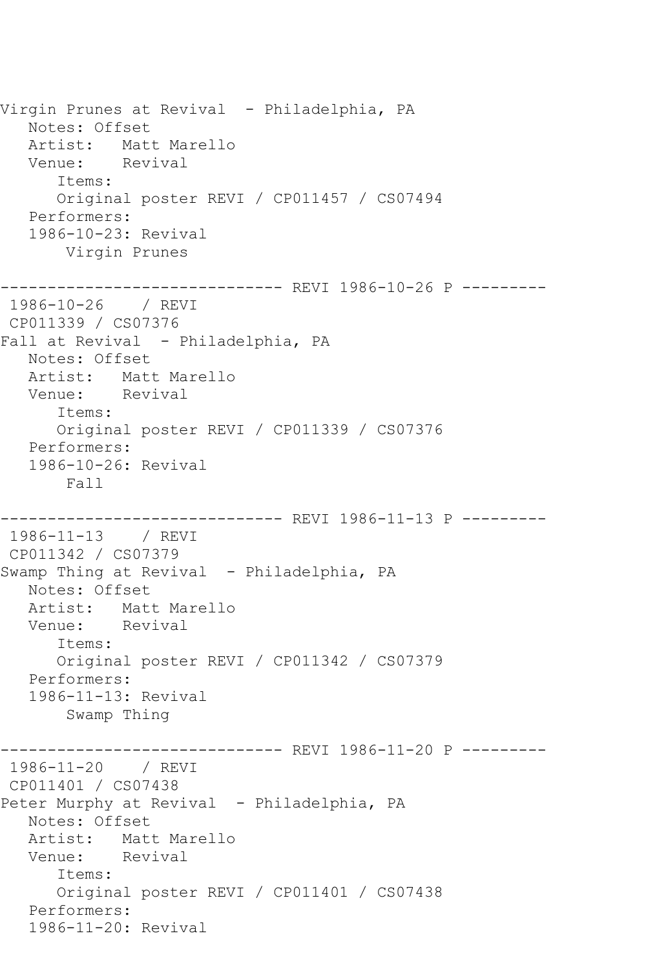Virgin Prunes at Revival - Philadelphia, PA Notes: Offset Artist: Matt Marello Venue: Revival Items: Original poster REVI / CP011457 / CS07494 Performers: 1986-10-23: Revival Virgin Prunes ------------------------------ REVI 1986-10-26 P --------- 1986-10-26 / REVI CP011339 / CS07376 Fall at Revival - Philadelphia, PA Notes: Offset Artist: Matt Marello Venue: Revival Items: Original poster REVI / CP011339 / CS07376 Performers: 1986-10-26: Revival Fall ------------------------------ REVI 1986-11-13 P --------- 1986-11-13 / REVI CP011342 / CS07379 Swamp Thing at Revival - Philadelphia, PA Notes: Offset Artist: Matt Marello Venue: Revival Items: Original poster REVI / CP011342 / CS07379 Performers: 1986-11-13: Revival Swamp Thing ------------------------------ REVI 1986-11-20 P --------- 1986-11-20 / REVI CP011401 / CS07438 Peter Murphy at Revival - Philadelphia, PA Notes: Offset Artist: Matt Marello Venue: Revival Items: Original poster REVI / CP011401 / CS07438 Performers: 1986-11-20: Revival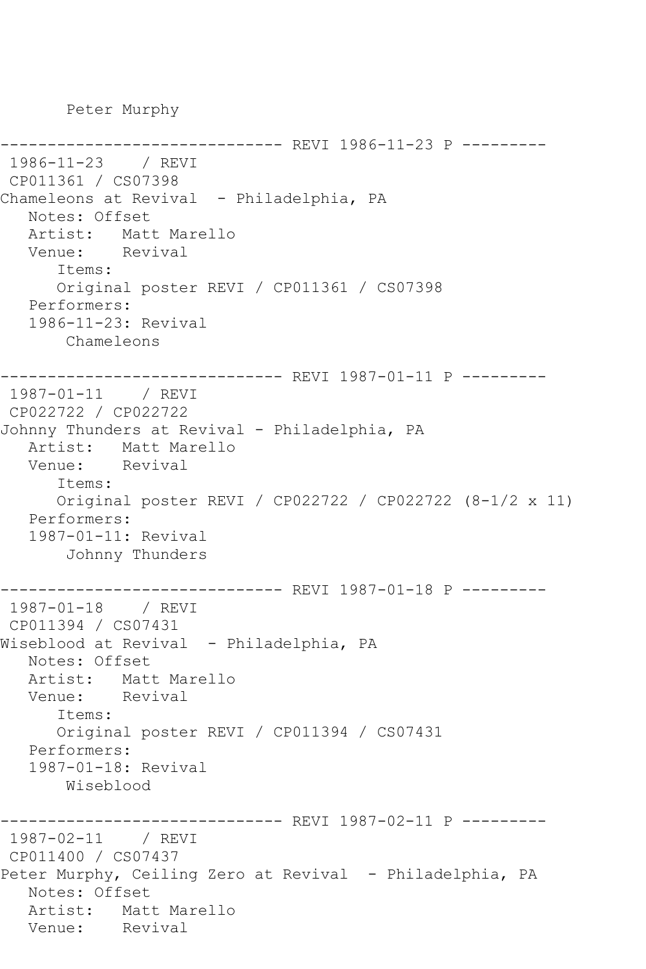Peter Murphy

```
------------------------------ REVI 1986-11-23 P ---------
1986-11-23 / REVI 
CP011361 / CS07398
Chameleons at Revival - Philadelphia, PA
   Notes: Offset
   Artist: Matt Marello
   Venue: Revival
       Items:
       Original poster REVI / CP011361 / CS07398
   Performers:
    1986-11-23: Revival
        Chameleons
------------------------------ REVI 1987-01-11 P ---------
1987-01-11 / REVI 
CP022722 / CP022722
Johnny Thunders at Revival - Philadelphia, PA
  Artist: Matt Marello<br>Venue: Revival
  Venue:
       Items:
       Original poster REVI / CP022722 / CP022722 (8-1/2 x 11)
   Performers:
    1987-01-11: Revival
        Johnny Thunders
------------------------------ REVI 1987-01-18 P ---------
1987-01-18 / REVI 
CP011394 / CS07431
Wiseblood at Revival - Philadelphia, PA
   Notes: Offset
  Artist: Matt Marello<br>Venue: Revival
  Venue:
       Items:
       Original poster REVI / CP011394 / CS07431
   Performers:
    1987-01-18: Revival
       Wiseblood
                     ---------- REVI 1987-02-11 P ---------
1987-02-11 / REVI 
CP011400 / CS07437
Peter Murphy, Ceiling Zero at Revival - Philadelphia, PA
   Notes: Offset
  Artist: Matt Marello<br>Venue: Revival
  Venue:
```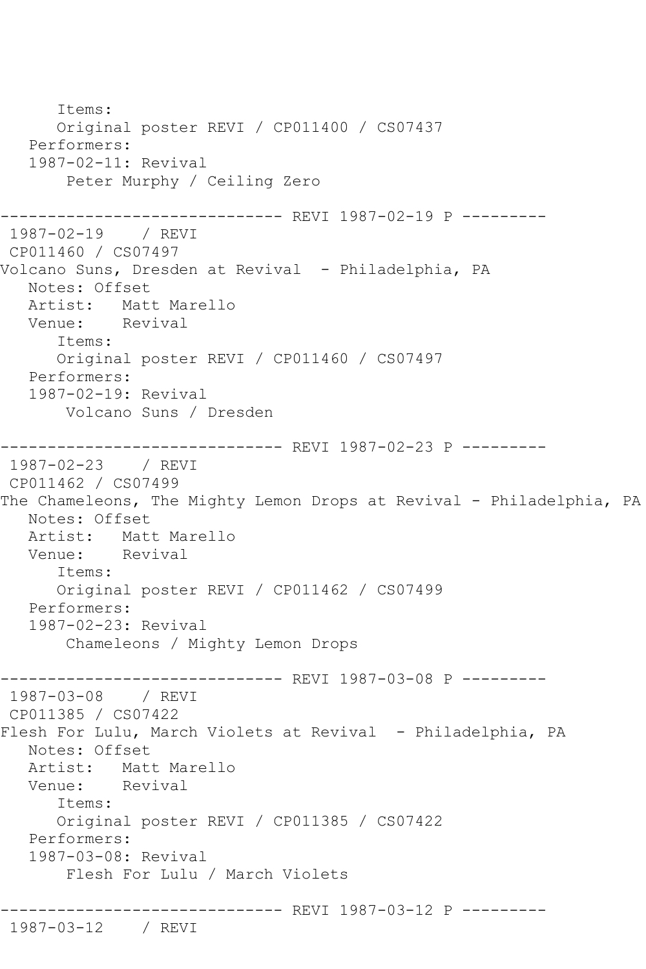```
 Items:
       Original poster REVI / CP011400 / CS07437
   Performers:
    1987-02-11: Revival
        Peter Murphy / Ceiling Zero
------------------------------ REVI 1987-02-19 P ---------
1987-02-19 / REVI 
CP011460 / CS07497
Volcano Suns, Dresden at Revival - Philadelphia, PA
   Notes: Offset
  Artist: Matt Marello<br>Venue: Revival
  Venue:
       Items:
       Original poster REVI / CP011460 / CS07497
   Performers:
    1987-02-19: Revival
        Volcano Suns / Dresden
------------------------------ REVI 1987-02-23 P ---------
1987-02-23 / REVI 
CP011462 / CS07499
The Chameleons, The Mighty Lemon Drops at Revival - Philadelphia, PA
   Notes: Offset
  Artist: Matt Marello<br>Venue: Revival
  Venue:
       Items:
       Original poster REVI / CP011462 / CS07499
   Performers:
    1987-02-23: Revival
        Chameleons / Mighty Lemon Drops
------------------------------ REVI 1987-03-08 P ---------
1987-03-08 / REVI 
CP011385 / CS07422
Flesh For Lulu, March Violets at Revival - Philadelphia, PA
   Notes: Offset
  Artist: Matt Marello<br>Venue: Revival
  Venue:
       Items:
       Original poster REVI / CP011385 / CS07422
   Performers:
    1987-03-08: Revival
        Flesh For Lulu / March Violets
------------------------------ REVI 1987-03-12 P ---------
1987-03-12 / REVI
```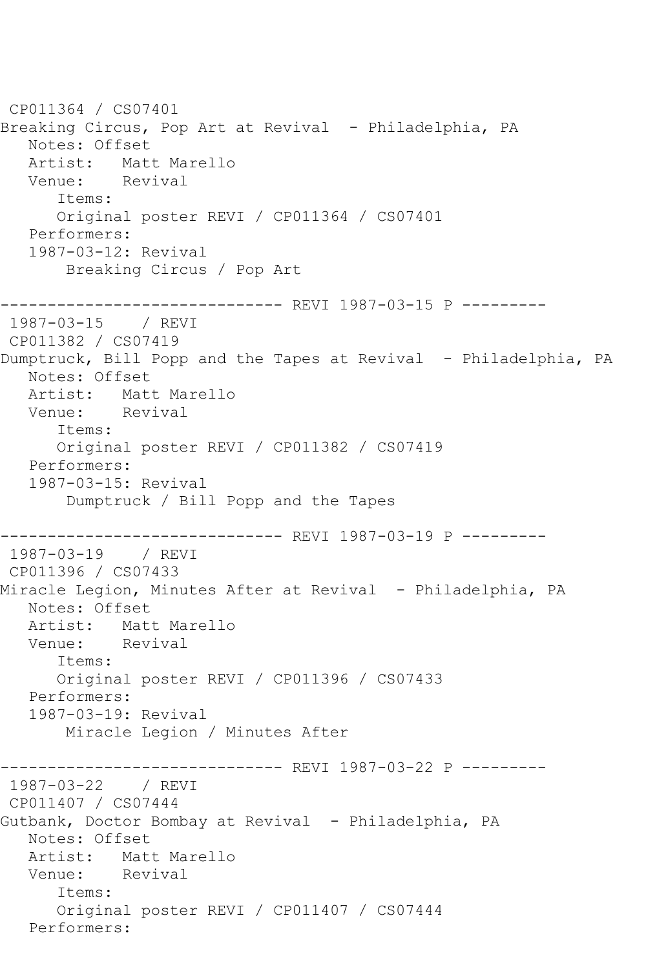CP011364 / CS07401 Breaking Circus, Pop Art at Revival - Philadelphia, PA Notes: Offset Artist: Matt Marello<br>Venue: Revival Revival Items: Original poster REVI / CP011364 / CS07401 Performers: 1987-03-12: Revival Breaking Circus / Pop Art ------------------------------ REVI 1987-03-15 P --------- 1987-03-15 / REVI CP011382 / CS07419 Dumptruck, Bill Popp and the Tapes at Revival - Philadelphia, PA Notes: Offset Artist: Matt Marello<br>Venue: Revival Venue: Items: Original poster REVI / CP011382 / CS07419 Performers: 1987-03-15: Revival Dumptruck / Bill Popp and the Tapes ----------------- REVI 1987-03-19 P ----------<br>/ REVI 1987-03-19 CP011396 / CS07433 Miracle Legion, Minutes After at Revival - Philadelphia, PA Notes: Offset Artist: Matt Marello Venue: Revival Items: Original poster REVI / CP011396 / CS07433 Performers: 1987-03-19: Revival Miracle Legion / Minutes After ----------- REVI 1987-03-22 P ----------1987-03-22 / REVI CP011407 / CS07444 Gutbank, Doctor Bombay at Revival - Philadelphia, PA Notes: Offset Artist: Matt Marello<br>Venue: Revival Venue: Items: Original poster REVI / CP011407 / CS07444 Performers: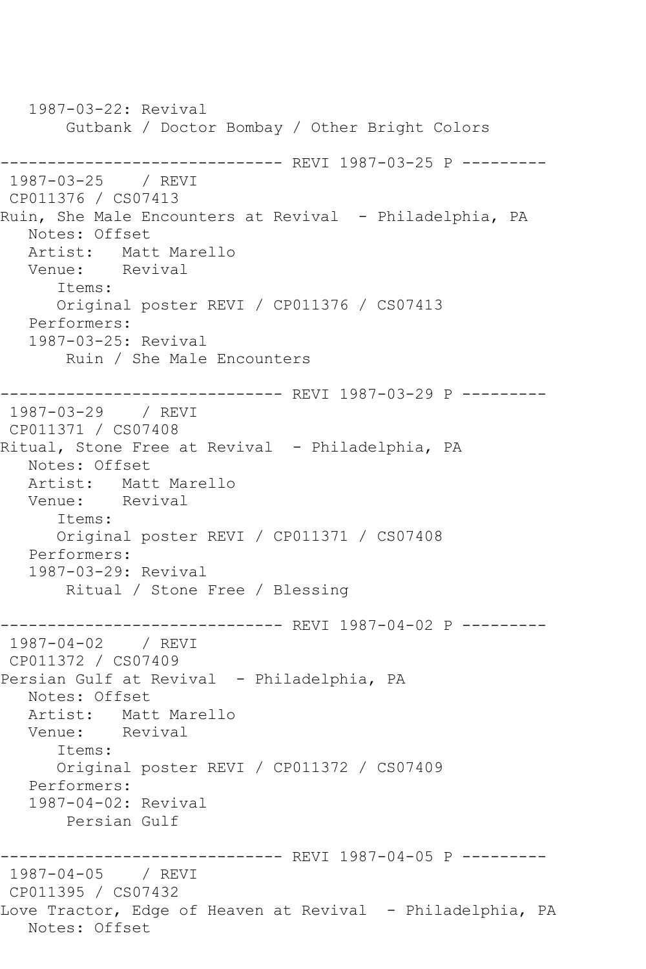1987-03-22: Revival Gutbank / Doctor Bombay / Other Bright Colors ------------------------------ REVI 1987-03-25 P --------- 1987-03-25 / REVI CP011376 / CS07413 Ruin, She Male Encounters at Revival - Philadelphia, PA Notes: Offset Artist: Matt Marello<br>Venue: Revival Venue: Items: Original poster REVI / CP011376 / CS07413 Performers: 1987-03-25: Revival Ruin / She Male Encounters ------------------------------ REVI 1987-03-29 P --------- 1987-03-29 / REVI CP011371 / CS07408 Ritual, Stone Free at Revival - Philadelphia, PA Notes: Offset Artist: Matt Marello Venue: Revival Items: Original poster REVI / CP011371 / CS07408 Performers: 1987-03-29: Revival Ritual / Stone Free / Blessing ------------------------------ REVI 1987-04-02 P --------- 1987-04-02 / REVI CP011372 / CS07409 Persian Gulf at Revival - Philadelphia, PA Notes: Offset Artist: Matt Marello Venue: Revival Items: Original poster REVI / CP011372 / CS07409 Performers: 1987-04-02: Revival Persian Gulf ------------------------------ REVI 1987-04-05 P --------- 1987-04-05 / REVI CP011395 / CS07432 Love Tractor, Edge of Heaven at Revival - Philadelphia, PA Notes: Offset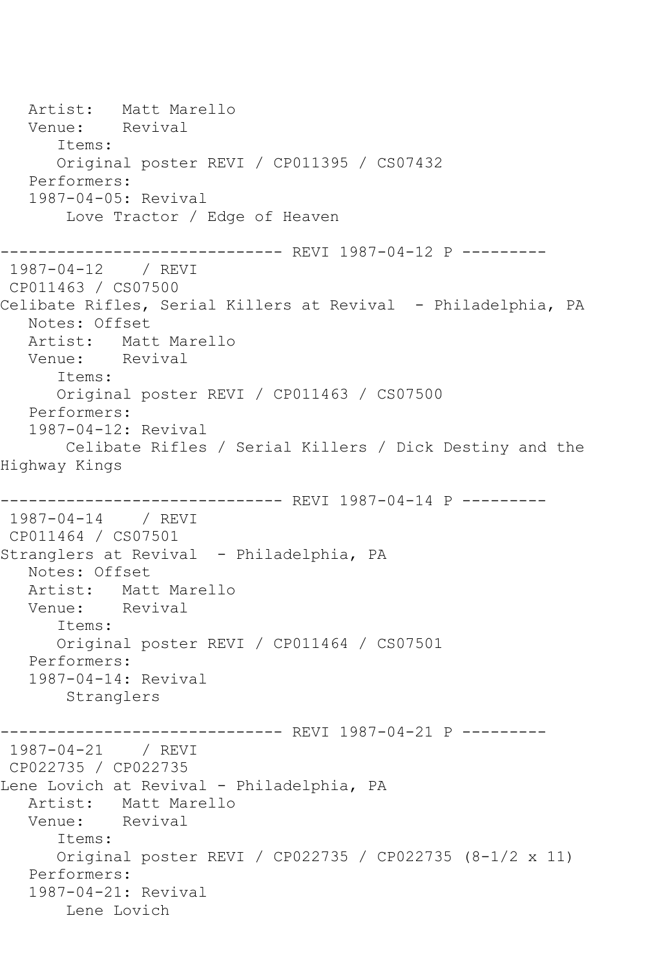Artist: Matt Marello<br>Venue: Revival Venue: Items: Original poster REVI / CP011395 / CS07432 Performers: 1987-04-05: Revival Love Tractor / Edge of Heaven ------------- REVI 1987-04-12 P ---------1987-04-12 / REVI CP011463 / CS07500 Celibate Rifles, Serial Killers at Revival - Philadelphia, PA Notes: Offset Artist: Matt Marello<br>Venue: Revival Venue: Items: Original poster REVI / CP011463 / CS07500 Performers: 1987-04-12: Revival Celibate Rifles / Serial Killers / Dick Destiny and the Highway Kings ------------------------------ REVI 1987-04-14 P --------- 1987-04-14 / REVI CP011464 / CS07501 Stranglers at Revival - Philadelphia, PA Notes: Offset Artist: Matt Marello<br>Venue: Revival Venue: Items: Original poster REVI / CP011464 / CS07501 Performers: 1987-04-14: Revival Stranglers ------------------------------ REVI 1987-04-21 P --------- 1987-04-21 / REVI CP022735 / CP022735 Lene Lovich at Revival - Philadelphia, PA Artist: Matt Marello Venue: Revival Items: Original poster REVI / CP022735 / CP022735 (8-1/2 x 11) Performers: 1987-04-21: Revival Lene Lovich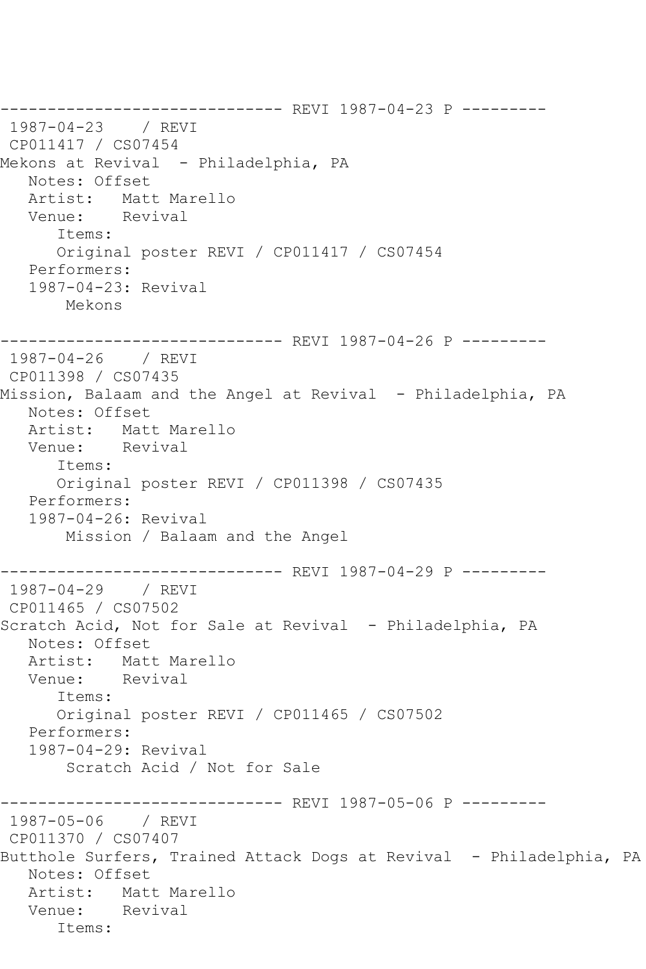------------------------------ REVI 1987-04-23 P --------- 1987-04-23 / REVI CP011417 / CS07454 Mekons at Revival - Philadelphia, PA Notes: Offset Artist: Matt Marello<br>Venue: Revival Venue: Items: Original poster REVI / CP011417 / CS07454 Performers: 1987-04-23: Revival Mekons ------------------------------ REVI 1987-04-26 P --------- 1987-04-26 / REVI CP011398 / CS07435 Mission, Balaam and the Angel at Revival - Philadelphia, PA Notes: Offset<br>Artist: Mati Matt Marello Venue: Revival Items: Original poster REVI / CP011398 / CS07435 Performers: 1987-04-26: Revival Mission / Balaam and the Angel ------------------------------ REVI 1987-04-29 P --------- 1987-04-29 / REVI CP011465 / CS07502 Scratch Acid, Not for Sale at Revival - Philadelphia, PA Notes: Offset Artist: Matt Marello Venue: Revival Items: Original poster REVI / CP011465 / CS07502 Performers: 1987-04-29: Revival Scratch Acid / Not for Sale ------------------------------ REVI 1987-05-06 P --------- 1987-05-06 / REVI CP011370 / CS07407 Butthole Surfers, Trained Attack Dogs at Revival - Philadelphia, PA Notes: Offset Artist: Matt Marello Venue: Revival Items: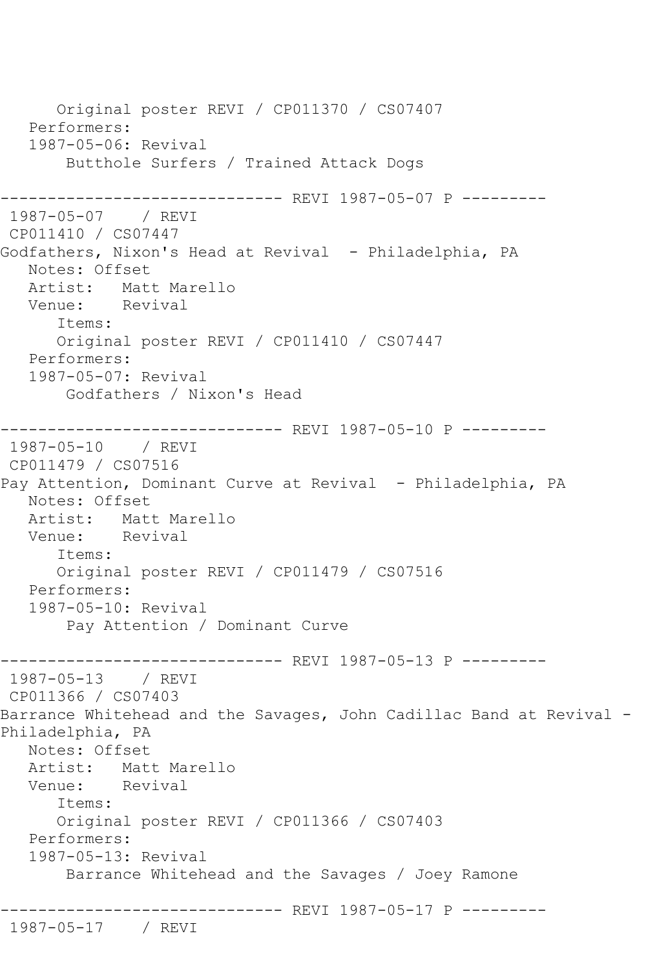Original poster REVI / CP011370 / CS07407 Performers: 1987-05-06: Revival Butthole Surfers / Trained Attack Dogs ------------------------------ REVI 1987-05-07 P --------- 1987-05-07 / REVI CP011410 / CS07447 Godfathers, Nixon's Head at Revival - Philadelphia, PA Notes: Offset Artist: Matt Marello<br>Venue: Revival Revival Items: Original poster REVI / CP011410 / CS07447 Performers: 1987-05-07: Revival Godfathers / Nixon's Head ------------------------------ REVI 1987-05-10 P --------- 1987-05-10 / REVI CP011479 / CS07516 Pay Attention, Dominant Curve at Revival - Philadelphia, PA Notes: Offset Artist: Matt Marello Venue: Revival Items: Original poster REVI / CP011479 / CS07516 Performers: 1987-05-10: Revival Pay Attention / Dominant Curve ------------------------------ REVI 1987-05-13 P --------- 1987-05-13 / REVI CP011366 / CS07403 Barrance Whitehead and the Savages, John Cadillac Band at Revival - Philadelphia, PA Notes: Offset Artist: Matt Marello Venue: Revival Items: Original poster REVI / CP011366 / CS07403 Performers: 1987-05-13: Revival Barrance Whitehead and the Savages / Joey Ramone ------------------------------ REVI 1987-05-17 P --------- 1987-05-17 / REVI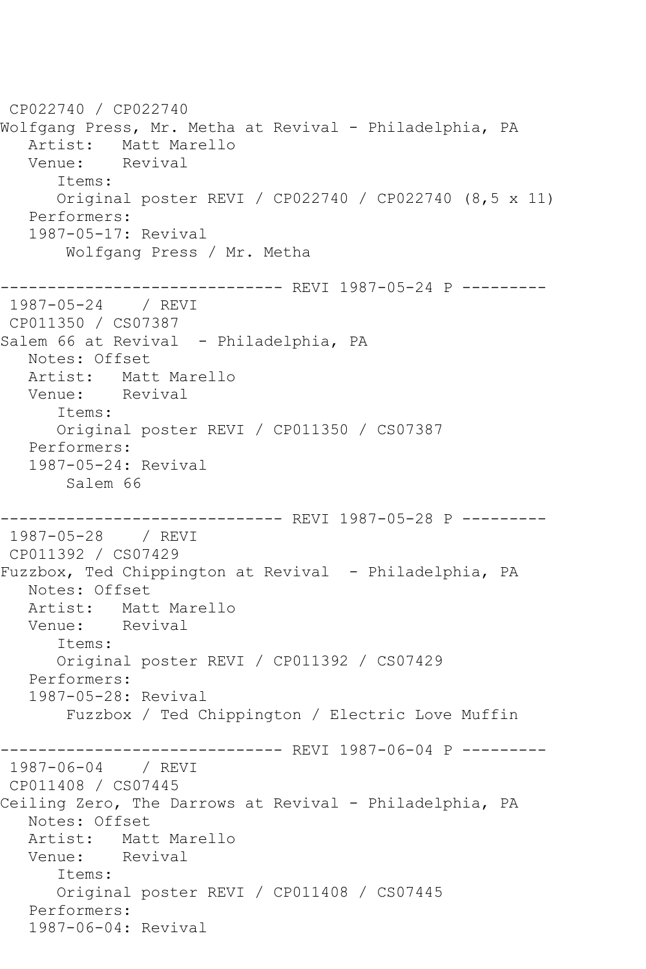```
CP022740 / CP022740
Wolfgang Press, Mr. Metha at Revival - Philadelphia, PA
   Artist: Matt Marello
   Venue: Revival
      Items:
      Original poster REVI / CP022740 / CP022740 (8,5 x 11)
   Performers:
   1987-05-17: Revival
       Wolfgang Press / Mr. Metha
------------------------------ REVI 1987-05-24 P ---------
1987-05-24 / REVI 
CP011350 / CS07387
Salem 66 at Revival - Philadelphia, PA
   Notes: Offset
   Artist: Matt Marello
   Venue: Revival
      Items:
      Original poster REVI / CP011350 / CS07387
   Performers:
   1987-05-24: Revival
       Salem 66
------------------------------ REVI 1987-05-28 P ---------
1987-05-28 / REVI 
CP011392 / CS07429
Fuzzbox, Ted Chippington at Revival - Philadelphia, PA
   Notes: Offset
   Artist: Matt Marello
   Venue: Revival
      Items:
      Original poster REVI / CP011392 / CS07429
   Performers:
   1987-05-28: Revival
       Fuzzbox / Ted Chippington / Electric Love Muffin
------------------------------ REVI 1987-06-04 P ---------
1987-06-04 / REVI 
CP011408 / CS07445
Ceiling Zero, The Darrows at Revival - Philadelphia, PA
   Notes: Offset
   Artist: Matt Marello
   Venue: Revival
      Items:
      Original poster REVI / CP011408 / CS07445
   Performers:
   1987-06-04: Revival
```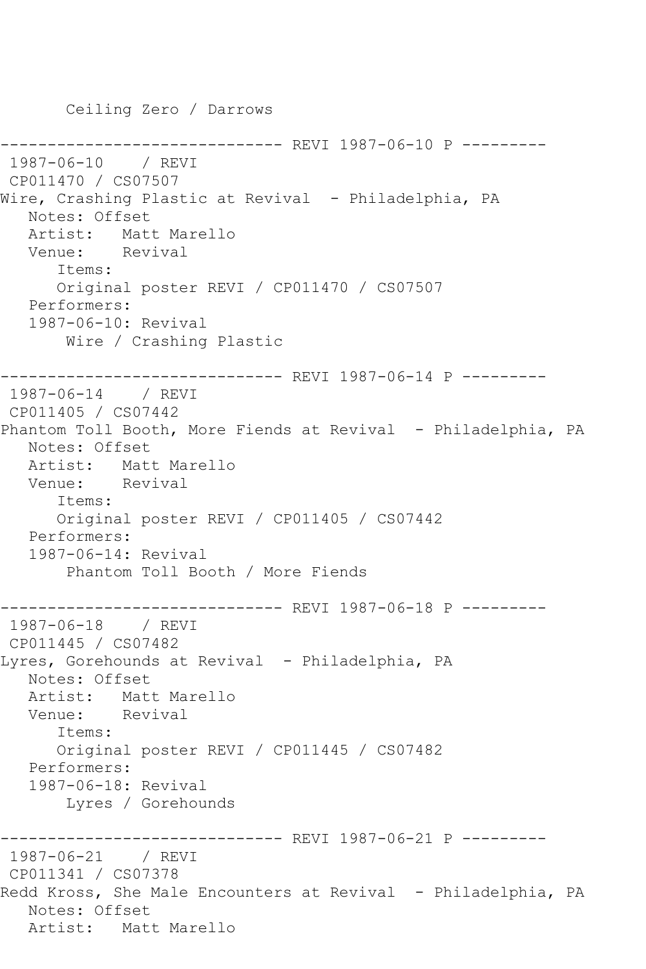Ceiling Zero / Darrows ------------------------------ REVI 1987-06-10 P --------- 1987-06-10 / REVI CP011470 / CS07507 Wire, Crashing Plastic at Revival - Philadelphia, PA Notes: Offset Artist: Matt Marello Venue: Revival Items: Original poster REVI / CP011470 / CS07507 Performers: 1987-06-10: Revival Wire / Crashing Plastic ------------------------------ REVI 1987-06-14 P --------- 1987-06-14 / REVI CP011405 / CS07442 Phantom Toll Booth, More Fiends at Revival - Philadelphia, PA Notes: Offset Artist: Matt Marello Venue: Revival Items: Original poster REVI / CP011405 / CS07442 Performers: 1987-06-14: Revival Phantom Toll Booth / More Fiends ------------------------------ REVI 1987-06-18 P --------- 1987-06-18 / REVI CP011445 / CS07482 Lyres, Gorehounds at Revival - Philadelphia, PA Notes: Offset Artist: Matt Marello Venue: Revival Items: Original poster REVI / CP011445 / CS07482 Performers: 1987-06-18: Revival Lyres / Gorehounds ------------------------------ REVI 1987-06-21 P --------- 1987-06-21 / REVI CP011341 / CS07378 Redd Kross, She Male Encounters at Revival - Philadelphia, PA Notes: Offset Artist: Matt Marello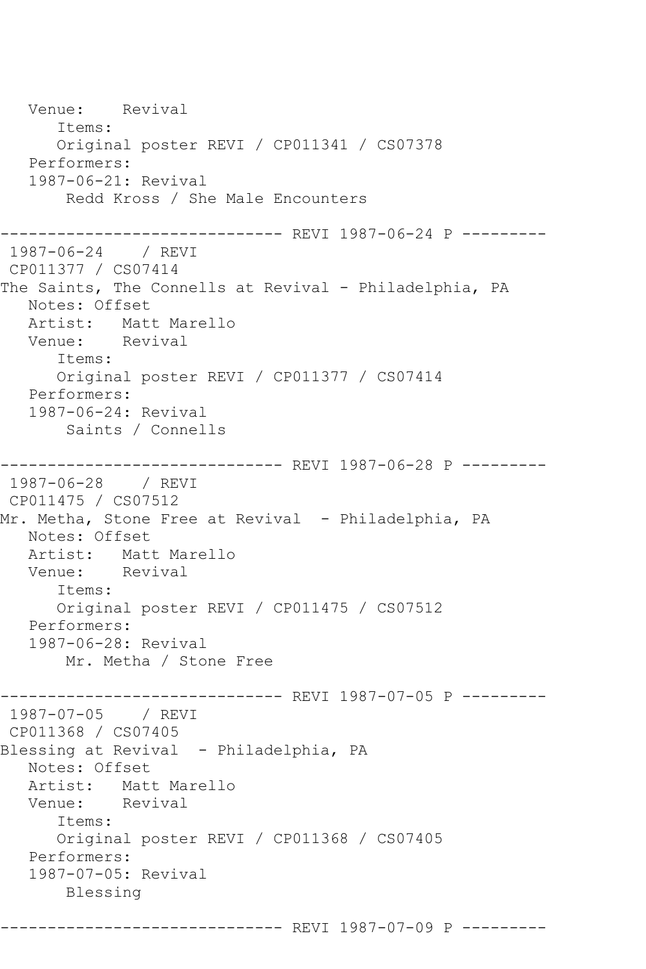```
 Venue: Revival
      Items:
      Original poster REVI / CP011341 / CS07378
   Performers:
   1987-06-21: Revival
       Redd Kross / She Male Encounters
------------------------------ REVI 1987-06-24 P ---------
1987-06-24 / REVI 
CP011377 / CS07414
The Saints, The Connells at Revival - Philadelphia, PA
   Notes: Offset
   Artist: Matt Marello
   Venue: Revival
      Items:
      Original poster REVI / CP011377 / CS07414
   Performers:
   1987-06-24: Revival
       Saints / Connells
------------------------------ REVI 1987-06-28 P ---------
1987-06-28 / REVI 
CP011475 / CS07512
Mr. Metha, Stone Free at Revival - Philadelphia, PA
   Notes: Offset
   Artist: Matt Marello
   Venue: Revival
      Items:
      Original poster REVI / CP011475 / CS07512
   Performers:
   1987-06-28: Revival
       Mr. Metha / Stone Free
------------------------------ REVI 1987-07-05 P ---------
1987-07-05 / REVI 
CP011368 / CS07405
Blessing at Revival - Philadelphia, PA
   Notes: Offset
   Artist: Matt Marello
   Venue: Revival
      Items:
      Original poster REVI / CP011368 / CS07405
   Performers:
   1987-07-05: Revival
       Blessing
```
------------------------------ REVI 1987-07-09 P ---------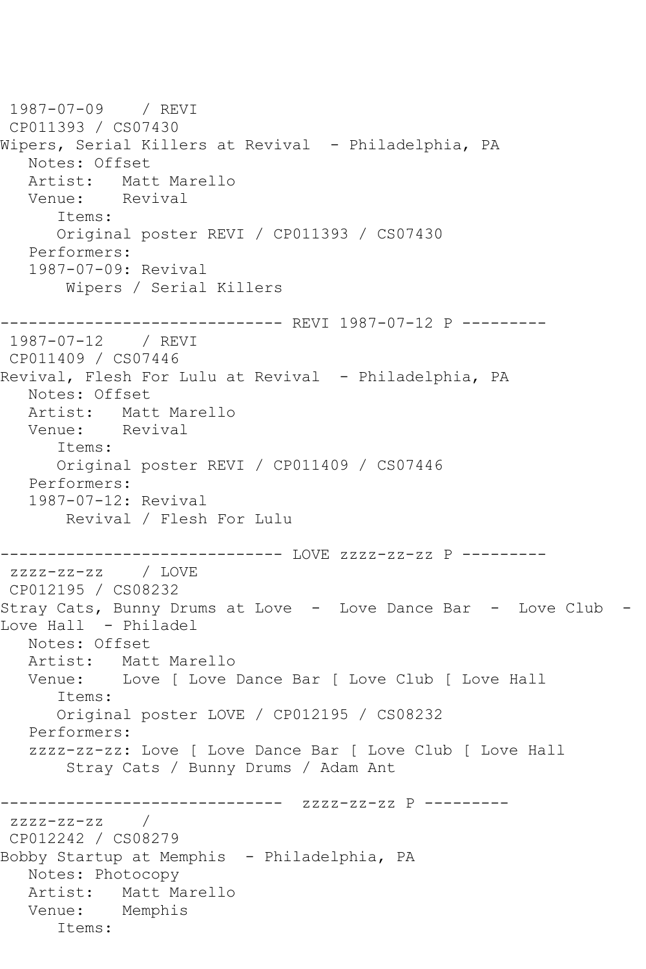```
1987-07-09 / REVI 
CP011393 / CS07430
Wipers, Serial Killers at Revival - Philadelphia, PA
   Notes: Offset
   Artist: Matt Marello
   Venue: Revival
      Items:
      Original poster REVI / CP011393 / CS07430
   Performers:
   1987-07-09: Revival
       Wipers / Serial Killers
------------------------------ REVI 1987-07-12 P ---------
1987-07-12 / REVI 
CP011409 / CS07446
Revival, Flesh For Lulu at Revival - Philadelphia, PA
   Notes: Offset
   Artist: Matt Marello
   Venue: Revival
      Items:
      Original poster REVI / CP011409 / CS07446
   Performers:
   1987-07-12: Revival
       Revival / Flesh For Lulu
------------------------------ LOVE zzzz-zz-zz P ---------
zzzz-zz-zz / LOVE 
CP012195 / CS08232
Stray Cats, Bunny Drums at Love - Love Dance Bar - Love Club - 
Love Hall - Philadel
   Notes: Offset
   Artist: Matt Marello
   Venue: Love [ Love Dance Bar [ Love Club [ Love Hall
      Items:
      Original poster LOVE / CP012195 / CS08232
   Performers:
   zzzz-zz-zz: Love [ Love Dance Bar [ Love Club [ Love Hall
       Stray Cats / Bunny Drums / Adam Ant
------------------------------ zzzz-zz-zz P ---------
zzzz-zz-zz /
CP012242 / CS08279
Bobby Startup at Memphis - Philadelphia, PA
   Notes: Photocopy
   Artist: Matt Marello
   Venue: Memphis
      Items:
```